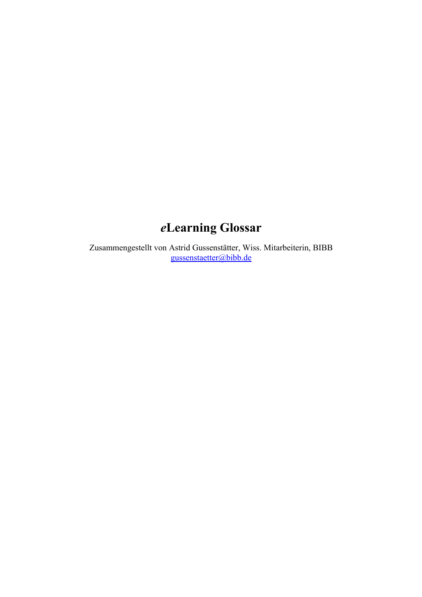# *e***Learning Glossar**

Zusammengestellt von Astrid Gussenstätter, Wiss. Mitarbeiterin, BIBB [gussenstaetter@bibb.de](mailto:gussenstaetter@bibb.de)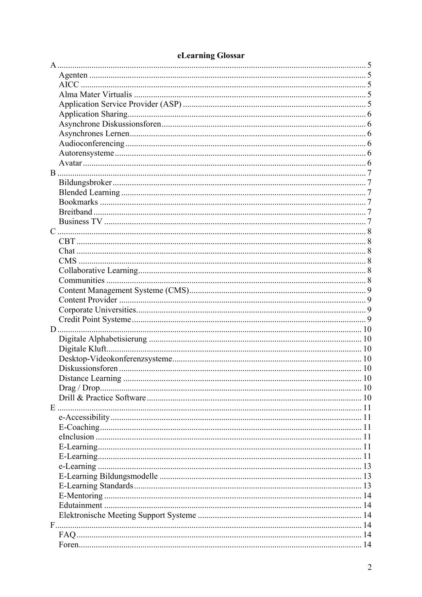| D. |    |
|----|----|
|    |    |
|    |    |
|    |    |
|    |    |
|    |    |
|    | 10 |
|    |    |
|    |    |
|    |    |
|    |    |
|    |    |
|    |    |
|    |    |
|    |    |
|    |    |
|    |    |
|    |    |
|    |    |
|    |    |
|    |    |
|    |    |
|    |    |
|    |    |

## eLearning Glossar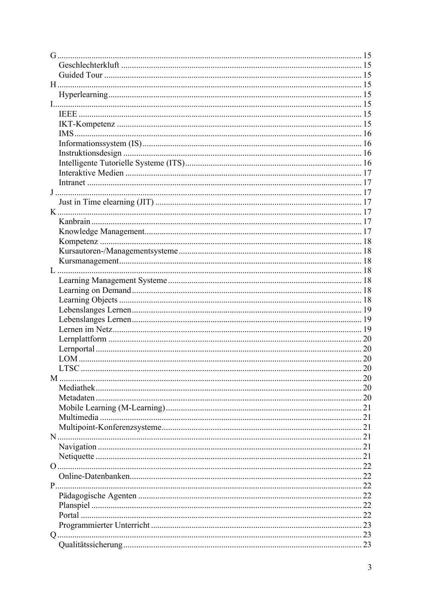|    | <b>LTSC</b> |  |
|----|-------------|--|
| M  |             |  |
|    |             |  |
|    |             |  |
|    |             |  |
|    |             |  |
|    |             |  |
|    |             |  |
|    |             |  |
|    |             |  |
|    |             |  |
|    |             |  |
| P. |             |  |
|    |             |  |
|    |             |  |
|    |             |  |
|    |             |  |
|    |             |  |
|    |             |  |
|    |             |  |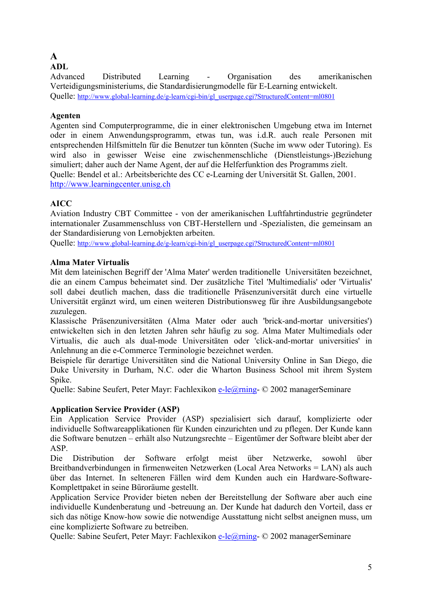## <span id="page-4-0"></span>**A**

## **ADL**

Advanced Distributed Learning - Organisation des amerikanischen Verteidigungsministeriums, die Standardisierungmodelle für E-Learning entwickelt. Quelle: [http://www.global-learning.de/g-learn/cgi-bin/gl\\_userpage.cgi?StructuredContent=ml0801](http://www.global-learning.de/g-learn/cgi-bin/gl_userpage.cgi?StructuredContent=ml0801)

## **Agenten**

Agenten sind Computerprogramme, die in einer elektronischen Umgebung etwa im Internet oder in einem Anwendungsprogramm, etwas tun, was i.d.R. auch reale Personen mit entsprechenden Hilfsmitteln für die Benutzer tun könnten (Suche im www oder Tutoring). Es wird also in gewisser Weise eine zwischenmenschliche (Dienstleistungs-)Beziehung simuliert; daher auch der Name Agent, der auf die Helferfunktion des Programms zielt. Quelle: Bendel et al.: Arbeitsberichte des CC e-Learning der Universität St. Gallen, 2001. [http://www.learningcenter.unisg.ch](http://www.learningcenter.unisg.ch/)

## **AICC**

Aviation Industry CBT Committee - von der amerikanischen Luftfahrtindustrie gegründeter internationaler Zusammenschluss von CBT-Herstellern und -Spezialisten, die gemeinsam an der Standardisierung von Lernobjekten arbeiten.

Quelle: [http://www.global-learning.de/g-learn/cgi-bin/gl\\_userpage.cgi?StructuredContent=ml0801](http://www.global-learning.de/g-learn/cgi-bin/gl_userpage.cgi?StructuredContent=ml0801)

## **Alma Mater Virtualis**

Mit dem lateinischen Begriff der 'Alma Mater' werden traditionelle Universitäten bezeichnet, die an einem Campus beheimatet sind. Der zusätzliche Titel 'Multimedialis' oder 'Virtualis' soll dabei deutlich machen, dass die traditionelle Präsenzuniversität durch eine virtuelle Universität ergänzt wird, um einen weiteren Distributionsweg für ihre Ausbildungsangebote zuzulegen.

Klassische Präsenzuniversitäten (Alma Mater oder auch 'brick-and-mortar universities') entwickelten sich in den letzten Jahren sehr häufig zu sog. Alma Mater Multimedials oder Virtualis, die auch als dual-mode Universitäten oder 'click-and-mortar universities' in Anlehnung an die e-Commerce Terminologie bezeichnet werden.

Beispiele für derartige Universitäten sind die National University Online in San Diego, die Duke University in Durham, N.C. oder die Wharton Business School mit ihrem System Spike.

Quelle: Sabine Seufert, Peter Mayr: Fachlexikon [e-le@rning-](mailto:e-le@rning) © 2002 managerSeminare

## **Application Service Provider (ASP)**

Ein Application Service Provider (ASP) spezialisiert sich darauf, komplizierte oder individuelle Softwareapplikationen für Kunden einzurichten und zu pflegen. Der Kunde kann die Software benutzen – erhält also Nutzungsrechte – Eigentümer der Software bleibt aber der ASP.

Die Distribution der Software erfolgt meist über Netzwerke, sowohl über Breitbandverbindungen in firmenweiten Netzwerken (Local Area Networks = LAN) als auch über das Internet. In selteneren Fällen wird dem Kunden auch ein Hardware-Software-Komplettpaket in seine Büroräume gestellt.

Application Service Provider bieten neben der Bereitstellung der Software aber auch eine individuelle Kundenberatung und -betreuung an. Der Kunde hat dadurch den Vorteil, dass er sich das nötige Know-how sowie die notwendige Ausstattung nicht selbst aneignen muss, um eine komplizierte Software zu betreiben.

Quelle: Sabine Seufert, Peter Mayr: Fachlexikon [e-le@rning-](mailto:e-le@rning) © 2002 managerSeminare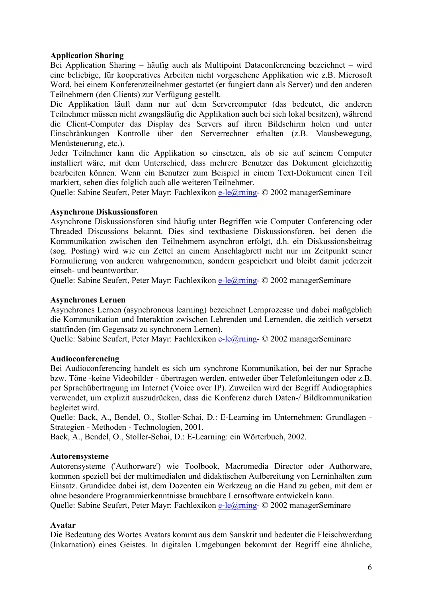#### <span id="page-5-0"></span>**Application Sharing**

Bei Application Sharing – häufig auch als Multipoint Dataconferencing bezeichnet – wird eine beliebige, für kooperatives Arbeiten nicht vorgesehene Applikation wie z.B. Microsoft Word, bei einem Konferenzteilnehmer gestartet (er fungiert dann als Server) und den anderen Teilnehmern (den Clients) zur Verfügung gestellt.

Die Applikation läuft dann nur auf dem Servercomputer (das bedeutet, die anderen Teilnehmer müssen nicht zwangsläufig die Applikation auch bei sich lokal besitzen), während die Client-Computer das Display des Servers auf ihren Bildschirm holen und unter Einschränkungen Kontrolle über den Serverrechner erhalten (z.B. Mausbewegung, Menüsteuerung, etc.).

Jeder Teilnehmer kann die Applikation so einsetzen, als ob sie auf seinem Computer installiert wäre, mit dem Unterschied, dass mehrere Benutzer das Dokument gleichzeitig bearbeiten können. Wenn ein Benutzer zum Beispiel in einem Text-Dokument einen Teil markiert, sehen dies folglich auch alle weiteren Teilnehmer.

Quelle: Sabine Seufert, Peter Mayr: Fachlexikon [e-le@rning-](mailto:e-le@rning) © 2002 managerSeminare

### **Asynchrone Diskussionsforen**

Asynchrone Diskussionsforen sind häufig unter Begriffen wie Computer Conferencing oder Threaded Discussions bekannt. Dies sind textbasierte Diskussionsforen, bei denen die Kommunikation zwischen den Teilnehmern asynchron erfolgt, d.h. ein Diskussionsbeitrag (sog. Posting) wird wie ein Zettel an einem Anschlagbrett nicht nur im Zeitpunkt seiner Formulierung von anderen wahrgenommen, sondern gespeichert und bleibt damit jederzeit einseh- und beantwortbar.

Quelle: Sabine Seufert, Peter Mayr: Fachlexikon [e-le@rning-](mailto:e-le@rning) © 2002 managerSeminare

#### **Asynchrones Lernen**

Asynchrones Lernen (asynchronous learning) bezeichnet Lernprozesse und dabei maßgeblich die Kommunikation und Interaktion zwischen Lehrenden und Lernenden, die zeitlich versetzt stattfinden (im Gegensatz zu synchronem Lernen).

Quelle: Sabine Seufert, Peter Mayr: Fachlexikon [e-le@rning-](mailto:e-le@rning) © 2002 managerSeminare

#### **Audioconferencing**

Bei Audioconferencing handelt es sich um synchrone Kommunikation, bei der nur Sprache bzw. Töne -keine Videobilder - übertragen werden, entweder über Telefonleitungen oder z.B. per Sprachübertragung im Internet (Voice over IP). Zuweilen wird der Begriff Audiographics verwendet, um explizit auszudrücken, dass die Konferenz durch Daten-/ Bildkommunikation begleitet wird.

Quelle: Back, A., Bendel, O., Stoller-Schai, D.: E-Learning im Unternehmen: Grundlagen - Strategien - Methoden - Technologien, 2001.

Back, A., Bendel, O., Stoller-Schai, D.: E-Learning: ein Wörterbuch, 2002.

#### **Autorensysteme**

Autorensysteme ('Authorware') wie Toolbook, Macromedia Director oder Authorware, kommen speziell bei der multimedialen und didaktischen Aufbereitung von Lerninhalten zum Einsatz. Grundidee dabei ist, dem Dozenten ein Werkzeug an die Hand zu geben, mit dem er ohne besondere Programmierkenntnisse brauchbare Lernsoftware entwickeln kann.

Quelle: Sabine Seufert, Peter Mayr: Fachlexikon [e-le@rning-](mailto:e-le@rning) © 2002 managerSeminare

#### **Avatar**

Die Bedeutung des Wortes Avatars kommt aus dem Sanskrit und bedeutet die Fleischwerdung (Inkarnation) eines Geistes. In digitalen Umgebungen bekommt der Begriff eine ähnliche,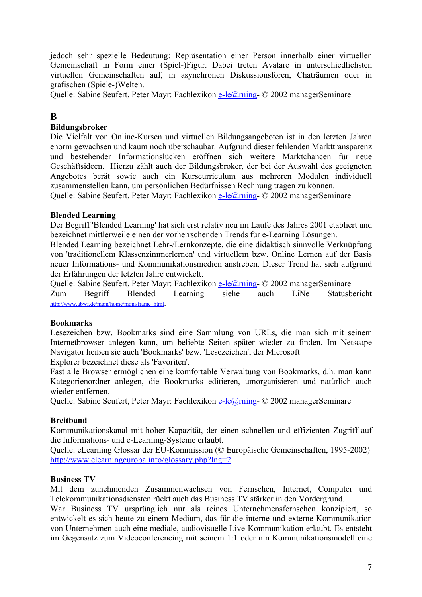<span id="page-6-0"></span>jedoch sehr spezielle Bedeutung: Repräsentation einer Person innerhalb einer virtuellen Gemeinschaft in Form einer (Spiel-)Figur. Dabei treten Avatare in unterschiedlichsten virtuellen Gemeinschaften auf, in asynchronen Diskussionsforen, Chaträumen oder in grafischen (Spiele-)Welten.

Quelle: Sabine Seufert, Peter Mayr: Fachlexikon [e-le@rning-](mailto:e-le@rning) © 2002 managerSeminare

## **B**

### **Bildungsbroker**

Die Vielfalt von Online-Kursen und virtuellen Bildungsangeboten ist in den letzten Jahren enorm gewachsen und kaum noch überschaubar. Aufgrund dieser fehlenden Markttransparenz und bestehender Informationslücken eröffnen sich weitere Marktchancen für neue Geschäftsideen. Hierzu zählt auch der Bildungsbroker, der bei der Auswahl des geeigneten Angebotes berät sowie auch ein Kurscurriculum aus mehreren Modulen individuell zusammenstellen kann, um persönlichen Bedürfnissen Rechnung tragen zu können.

Quelle: Sabine Seufert, Peter Mayr: Fachlexikon [e-le@rning-](mailto:e-le@rning) © 2002 managerSeminare

#### **Blended Learning**

Der Begriff 'Blended Learning' hat sich erst relativ neu im Laufe des Jahres 2001 etabliert und bezeichnet mittlerweile einen der vorherrschenden Trends für e-Learning Lösungen.

Blended Learning bezeichnet Lehr-/Lernkonzepte, die eine didaktisch sinnvolle Verknüpfung von 'traditionellem Klassenzimmerlernen' und virtuellem bzw. Online Lernen auf der Basis neuer Informations- und Kommunikationsmedien anstreben. Dieser Trend hat sich aufgrund der Erfahrungen der letzten Jahre entwickelt.

Quelle: Sabine Seufert, Peter Mayr: Fachlexikon [e-le@rning-](mailto:e-le@rning) © 2002 managerSeminare Zum Begriff Blended Learning siehe auch LiNe Statusbericht [http://www.abwf.de/main/home/moni/frame\\_html.](http://www.abwf.de/main/home/moni/frame_html)

#### **Bookmarks**

Lesezeichen bzw. Bookmarks sind eine Sammlung von URLs, die man sich mit seinem Internetbrowser anlegen kann, um beliebte Seiten später wieder zu finden. Im Netscape Navigator heißen sie auch 'Bookmarks' bzw. 'Lesezeichen', der Microsoft

Explorer bezeichnet diese als 'Favoriten'.

Fast alle Browser ermöglichen eine komfortable Verwaltung von Bookmarks, d.h. man kann Kategorienordner anlegen, die Bookmarks editieren, umorganisieren und natürlich auch wieder entfernen.

Quelle: Sabine Seufert, Peter Mayr: Fachlexikon [e-le@rning-](mailto:e-le@rning) © 2002 managerSeminare

#### **Breitband**

Kommunikationskanal mit hoher Kapazität, der einen schnellen und effizienten Zugriff auf die Informations- und e-Learning-Systeme erlaubt.

Quelle: eLearning Glossar der EU-Kommission (© Europäische Gemeinschaften, 1995-2002) <http://www.elearningeuropa.info/glossary.php?lng=2>

#### **Business TV**

Mit dem zunehmenden Zusammenwachsen von Fernsehen, Internet, Computer und Telekommunikationsdiensten rückt auch das Business TV stärker in den Vordergrund.

War Business TV ursprünglich nur als reines Unternehmensfernsehen konzipiert, so entwickelt es sich heute zu einem Medium, das für die interne und externe Kommunikation von Unternehmen auch eine mediale, audiovisuelle Live-Kommunikation erlaubt. Es entsteht im Gegensatz zum Videoconferencing mit seinem 1:1 oder n:n Kommunikationsmodell eine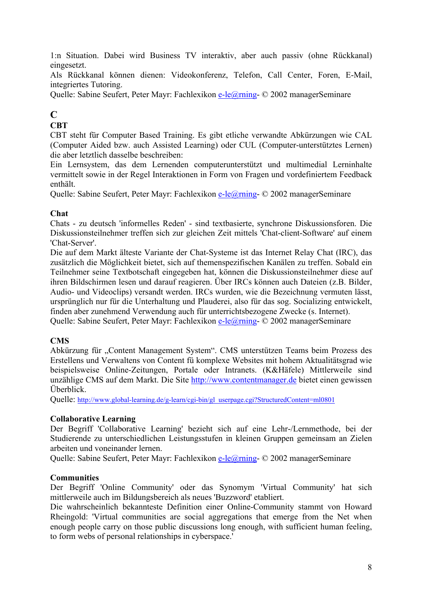<span id="page-7-0"></span>1:n Situation. Dabei wird Business TV interaktiv, aber auch passiv (ohne Rückkanal) eingesetzt.

Als Rückkanal können dienen: Videokonferenz, Telefon, Call Center, Foren, E-Mail, integriertes Tutoring.

Quelle: Sabine Seufert, Peter Mayr: Fachlexikon [e-le@rning-](mailto:e-le@rning) © 2002 managerSeminare

## **C**

## **CBT**

CBT steht für Computer Based Training. Es gibt etliche verwandte Abkürzungen wie CAL (Computer Aided bzw. auch Assisted Learning) oder CUL (Computer-unterstütztes Lernen) die aber letztlich dasselbe beschreiben:

Ein Lernsystem, das dem Lernenden computerunterstützt und multimedial Lerninhalte vermittelt sowie in der Regel Interaktionen in Form von Fragen und vordefiniertem Feedback enthält.

Quelle: Sabine Seufert, Peter Mayr: Fachlexikon [e-le@rning-](mailto:e-le@rning) © 2002 managerSeminare

## **Chat**

Chats - zu deutsch 'informelles Reden' - sind textbasierte, synchrone Diskussionsforen. Die Diskussionsteilnehmer treffen sich zur gleichen Zeit mittels 'Chat-client-Software' auf einem 'Chat-Server'.

Die auf dem Markt älteste Variante der Chat-Systeme ist das Internet Relay Chat (IRC), das zusätzlich die Möglichkeit bietet, sich auf themenspezifischen Kanälen zu treffen. Sobald ein Teilnehmer seine Textbotschaft eingegeben hat, können die Diskussionsteilnehmer diese auf ihren Bildschirmen lesen und darauf reagieren. Über IRCs können auch Dateien (z.B. Bilder, Audio- und Videoclips) versandt werden. IRCs wurden, wie die Bezeichnung vermuten lässt, ursprünglich nur für die Unterhaltung und Plauderei, also für das sog. Socializing entwickelt, finden aber zunehmend Verwendung auch für unterrichtsbezogene Zwecke (s. Internet). Quelle: Sabine Seufert, Peter Mayr: Fachlexikon [e-le@rning-](mailto:e-le@rning) © 2002 managerSeminare

## **CMS**

Abkürzung für "Content Management System". CMS unterstützen Teams beim Prozess des Erstellens und Verwaltens von Content fü komplexe Websites mit hohem Aktualitätsgrad wie beispielsweise Online-Zeitungen, Portale oder Intranets. (K&Häfele) Mittlerweile sind unzählige CMS auf dem Markt. Die Site [http://www.contentmanager.de](http://www.contentmanager.de/) bietet einen gewissen Überblick.

Quelle: [http://www.global-learning.de/g-learn/cgi-bin/gl\\_userpage.cgi?StructuredContent=ml0801](http://www.global-learning.de/g-learn/cgi-bin/gl_userpage.cgi?StructuredContent=ml0801)

## **Collaborative Learning**

Der Begriff 'Collaborative Learning' bezieht sich auf eine Lehr-/Lernmethode, bei der Studierende zu unterschiedlichen Leistungsstufen in kleinen Gruppen gemeinsam an Zielen arbeiten und voneinander lernen.

Quelle: Sabine Seufert, Peter Mayr: Fachlexikon [e-le@rning-](mailto:e-le@rning) © 2002 managerSeminare

## **Communities**

Der Begriff 'Online Community' oder das Synomym 'Virtual Community' hat sich mittlerweile auch im Bildungsbereich als neues 'Buzzword' etabliert.

Die wahrscheinlich bekannteste Definition einer Online-Community stammt von Howard Rheingold: 'Virtual communities are social aggregations that emerge from the Net when enough people carry on those public discussions long enough, with sufficient human feeling, to form webs of personal relationships in cyberspace.'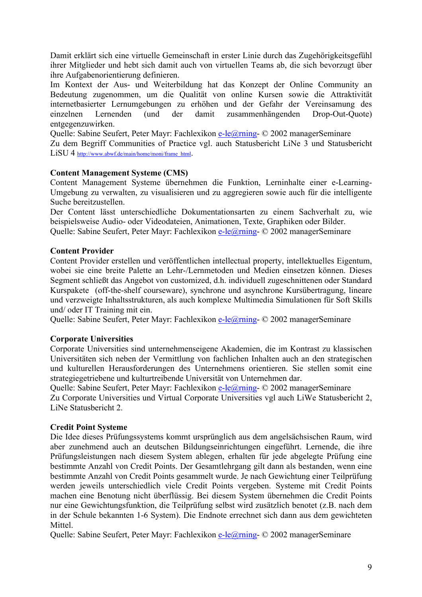<span id="page-8-0"></span>Damit erklärt sich eine virtuelle Gemeinschaft in erster Linie durch das Zugehörigkeitsgefühl ihrer Mitglieder und hebt sich damit auch von virtuellen Teams ab, die sich bevorzugt über ihre Aufgabenorientierung definieren.

Im Kontext der Aus- und Weiterbildung hat das Konzept der Online Community an Bedeutung zugenommen, um die Qualität von online Kursen sowie die Attraktivität internetbasierter Lernumgebungen zu erhöhen und der Gefahr der Vereinsamung des einzelnen Lernenden (und der damit zusammenhängenden Drop-Out-Quote) entgegenzuwirken.

Quelle: Sabine Seufert, Peter Mayr: Fachlexikon [e-le@rning-](mailto:e-le@rning) © 2002 managerSeminare Zu dem Begriff Communities of Practice vgl. auch Statusbericht LiNe 3 und Statusbericht LiSU 4 [http://www.abwf.de/main/home/moni/frame\\_html.](http://www.abwf.de/main/home/moni/frame_html)

#### **Content Management Systeme (CMS)**

Content Management Systeme übernehmen die Funktion, Lerninhalte einer e-Learning-Umgebung zu verwalten, zu visualisieren und zu aggregieren sowie auch für die intelligente Suche bereitzustellen.

Der Content lässt unterschiedliche Dokumentationsarten zu einem Sachverhalt zu, wie beispielsweise Audio- oder Videodateien, Animationen, Texte, Graphiken oder Bilder. Quelle: Sabine Seufert, Peter Mayr: Fachlexikon [e-le@rning-](mailto:e-le@rning) © 2002 managerSeminare

#### **Content Provider**

Content Provider erstellen und veröffentlichen intellectual property, intellektuelles Eigentum, wobei sie eine breite Palette an Lehr-/Lernmetoden und Medien einsetzen können. Dieses Segment schließt das Angebot von customized, d.h. individuell zugeschnittenen oder Standard Kurspakete (off-the-shelf courseware), synchrone und asynchrone Kursübertragung, lineare und verzweigte Inhaltsstrukturen, als auch komplexe Multimedia Simulationen für Soft Skills und/ oder IT Training mit ein.

Quelle: Sabine Seufert, Peter Mayr: Fachlexikon [e-le@rning-](mailto:e-le@rning) © 2002 managerSeminare

#### **Corporate Universities**

Corporate Universities sind unternehmenseigene Akademien, die im Kontrast zu klassischen Universitäten sich neben der Vermittlung von fachlichen Inhalten auch an den strategischen und kulturellen Herausforderungen des Unternehmens orientieren. Sie stellen somit eine strategiegetriebene und kulturtreibende Universität von Unternehmen dar.

Quelle: Sabine Seufert, Peter Mayr: Fachlexikon [e-le@rning-](mailto:e-le@rning) © 2002 managerSeminare Zu Corporate Universities und Virtual Corporate Universities vgl auch LiWe Statusbericht 2, LiNe Statusbericht 2.

#### **Credit Point Systeme**

Die Idee dieses Prüfungssystems kommt ursprünglich aus dem angelsächsischen Raum, wird aber zunehmend auch an deutschen Bildungseinrichtungen eingeführt. Lernende, die ihre Prüfungsleistungen nach diesem System ablegen, erhalten für jede abgelegte Prüfung eine bestimmte Anzahl von Credit Points. Der Gesamtlehrgang gilt dann als bestanden, wenn eine bestimmte Anzahl von Credit Points gesammelt wurde. Je nach Gewichtung einer Teilprüfung werden jeweils unterschiedlich viele Credit Points vergeben. Systeme mit Credit Points machen eine Benotung nicht überflüssig. Bei diesem System übernehmen die Credit Points nur eine Gewichtungsfunktion, die Teilprüfung selbst wird zusätzlich benotet (z.B. nach dem in der Schule bekannten 1-6 System). Die Endnote errechnet sich dann aus dem gewichteten **Mittel** 

Quelle: Sabine Seufert, Peter Mayr: Fachlexikon [e-le@rning-](mailto:e-le@rning) © 2002 managerSeminare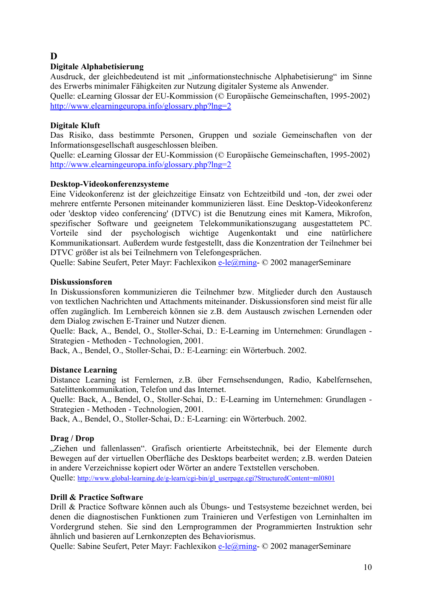## <span id="page-9-0"></span>**D**

## **Digitale Alphabetisierung**

Ausdruck, der gleichbedeutend ist mit "informationstechnische Alphabetisierung" im Sinne des Erwerbs minimaler Fähigkeiten zur Nutzung digitaler Systeme als Anwender. Quelle: eLearning Glossar der EU-Kommission (© Europäische Gemeinschaften, 1995-2002) <http://www.elearningeuropa.info/glossary.php?lng=2>

## **Digitale Kluft**

Das Risiko, dass bestimmte Personen, Gruppen und soziale Gemeinschaften von der Informationsgesellschaft ausgeschlossen bleiben.

Quelle: eLearning Glossar der EU-Kommission (© Europäische Gemeinschaften, 1995-2002) <http://www.elearningeuropa.info/glossary.php?lng=2>

## **Desktop-Videokonferenzsysteme**

Eine Videokonferenz ist der gleichzeitige Einsatz von Echtzeitbild und -ton, der zwei oder mehrere entfernte Personen miteinander kommunizieren lässt. Eine Desktop-Videokonferenz oder 'desktop video conferencing' (DTVC) ist die Benutzung eines mit Kamera, Mikrofon, spezifischer Software und geeignetem Telekommunikationszugang ausgestattetem PC. Vorteile sind der psychologisch wichtige Augenkontakt und eine natürlichere Kommunikationsart. Außerdem wurde festgestellt, dass die Konzentration der Teilnehmer bei DTVC größer ist als bei Teilnehmern von Telefongesprächen.

Quelle: Sabine Seufert, Peter Mayr: Fachlexikon [e-le@rning-](mailto:e-le@rning) © 2002 managerSeminare

## **Diskussionsforen**

In Diskussionsforen kommunizieren die Teilnehmer bzw. Mitglieder durch den Austausch von textlichen Nachrichten und Attachments miteinander. Diskussionsforen sind meist für alle offen zugänglich. Im Lernbereich können sie z.B. dem Austausch zwischen Lernenden oder dem Dialog zwischen E-Trainer und Nutzer dienen.

Quelle: Back, A., Bendel, O., Stoller-Schai, D.: E-Learning im Unternehmen: Grundlagen - Strategien - Methoden - Technologien, 2001.

Back, A., Bendel, O., Stoller-Schai, D.: E-Learning: ein Wörterbuch. 2002.

## **Distance Learning**

Distance Learning ist Fernlernen, z.B. über Fernsehsendungen, Radio, Kabelfernsehen, Satelittenkommunikation, Telefon und das Internet.

Quelle: Back, A., Bendel, O., Stoller-Schai, D.: E-Learning im Unternehmen: Grundlagen - Strategien - Methoden - Technologien, 2001.

Back, A., Bendel, O., Stoller-Schai, D.: E-Learning: ein Wörterbuch. 2002.

## **Drag / Drop**

"Ziehen und fallenlassen". Grafisch orientierte Arbeitstechnik, bei der Elemente durch Bewegen auf der virtuellen Oberfläche des Desktops bearbeitet werden; z.B. werden Dateien in andere Verzeichnisse kopiert oder Wörter an andere Textstellen verschoben.

Quelle: [http://www.global-learning.de/g-learn/cgi-bin/gl\\_userpage.cgi?StructuredContent=ml0801](http://www.global-learning.de/g-learn/cgi-bin/gl_userpage.cgi?StructuredContent=ml0801)

## **Drill & Practice Software**

Drill & Practice Software können auch als Übungs- und Testsysteme bezeichnet werden, bei denen die diagnostischen Funktionen zum Trainieren und Verfestigen von Lerninhalten im Vordergrund stehen. Sie sind den Lernprogrammen der Programmierten Instruktion sehr ähnlich und basieren auf Lernkonzepten des Behaviorismus.

Quelle: Sabine Seufert, Peter Mayr: Fachlexikon [e-le@rning-](mailto:e-le@rning) © 2002 managerSeminare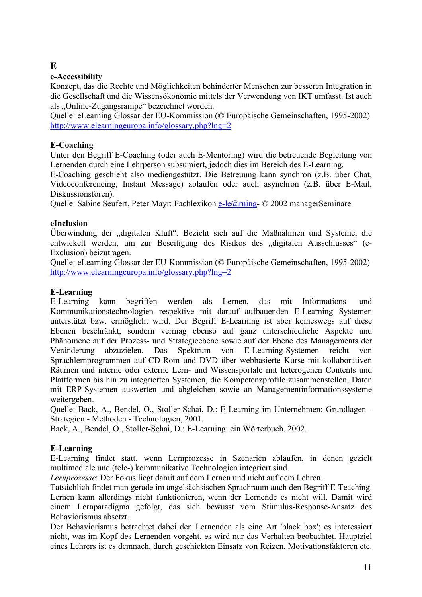## <span id="page-10-0"></span>**E**

## **e-Accessibility**

Konzept, das die Rechte und Möglichkeiten behinderter Menschen zur besseren Integration in die Gesellschaft und die Wissensökonomie mittels der Verwendung von IKT umfasst. Ist auch als ..Online-Zugangsrampe" bezeichnet worden.

Quelle: eLearning Glossar der EU-Kommission (© Europäische Gemeinschaften, 1995-2002) <http://www.elearningeuropa.info/glossary.php?lng=2>

## **E-Coaching**

Unter den Begriff E-Coaching (oder auch E-Mentoring) wird die betreuende Begleitung von Lernenden durch eine Lehrperson subsumiert, jedoch dies im Bereich des E-Learning.

E-Coaching geschieht also mediengestützt. Die Betreuung kann synchron (z.B. über Chat, Videoconferencing, Instant Message) ablaufen oder auch asynchron (z.B. über E-Mail, Diskussionsforen).

Quelle: Sabine Seufert, Peter Mayr: Fachlexikon [e-le@rning-](mailto:e-le@rning) © 2002 managerSeminare

## **eInclusion**

Überwindung der "digitalen Kluft". Bezieht sich auf die Maßnahmen und Systeme, die entwickelt werden, um zur Beseitigung des Risikos des "digitalen Ausschlusses" (e-Exclusion) beizutragen.

Quelle: eLearning Glossar der EU-Kommission (© Europäische Gemeinschaften, 1995-2002) <http://www.elearningeuropa.info/glossary.php?lng=2>

## **E-Learning**

E-Learning kann begriffen werden als Lernen, das mit Informations- und Kommunikationstechnologien respektive mit darauf aufbauenden E-Learning Systemen unterstützt bzw. ermöglicht wird. Der Begriff E-Learning ist aber keineswegs auf diese Ebenen beschränkt, sondern vermag ebenso auf ganz unterschiedliche Aspekte und Phänomene auf der Prozess- und Strategieebene sowie auf der Ebene des Managements der Veränderung abzuzielen. Das Spektrum von E-Learning-Systemen reicht von Sprachlernprogrammen auf CD-Rom und DVD über webbasierte Kurse mit kollaborativen Räumen und interne oder externe Lern- und Wissensportale mit heterogenen Contents und Plattformen bis hin zu integrierten Systemen, die Kompetenzprofile zusammenstellen, Daten mit ERP-Systemen auswerten und abgleichen sowie an Managementinformationssysteme weitergeben.

Quelle: Back, A., Bendel, O., Stoller-Schai, D.: E-Learning im Unternehmen: Grundlagen - Strategien - Methoden - Technologien, 2001.

Back, A., Bendel, O., Stoller-Schai, D.: E-Learning: ein Wörterbuch. 2002.

## **E-Learning**

E-Learning findet statt, wenn Lernprozesse in Szenarien ablaufen, in denen gezielt multimediale und (tele-) kommunikative Technologien integriert sind.

*Lernprozesse*: Der Fokus liegt damit auf dem Lernen und nicht auf dem Lehren.

Tatsächlich findet man gerade im angelsächsischen Sprachraum auch den Begriff E-Teaching. Lernen kann allerdings nicht funktionieren, wenn der Lernende es nicht will. Damit wird einem Lernparadigma gefolgt, das sich bewusst vom Stimulus-Response-Ansatz des Behaviorismus absetzt.

Der Behaviorismus betrachtet dabei den Lernenden als eine Art 'black box'; es interessiert nicht, was im Kopf des Lernenden vorgeht, es wird nur das Verhalten beobachtet. Hauptziel eines Lehrers ist es demnach, durch geschickten Einsatz von Reizen, Motivationsfaktoren etc.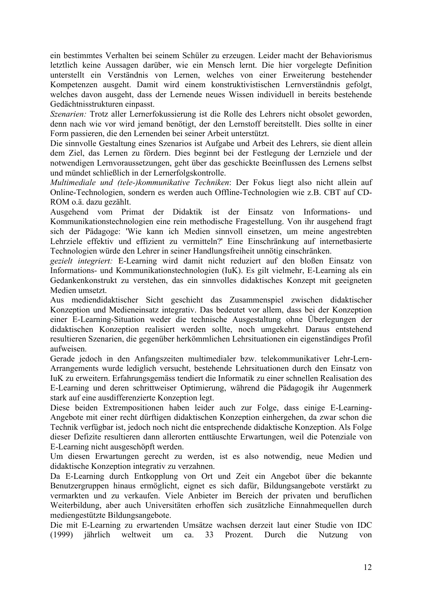ein bestimmtes Verhalten bei seinem Schüler zu erzeugen. Leider macht der Behaviorismus letztlich keine Aussagen darüber, wie ein Mensch lernt. Die hier vorgelegte Definition unterstellt ein Verständnis von Lernen, welches von einer Erweiterung bestehender Kompetenzen ausgeht. Damit wird einem konstruktivistischen Lernverständnis gefolgt, welches davon ausgeht, dass der Lernende neues Wissen individuell in bereits bestehende Gedächtnisstrukturen einpasst.

*Szenarien:* Trotz aller Lernerfokussierung ist die Rolle des Lehrers nicht obsolet geworden, denn nach wie vor wird jemand benötigt, der den Lernstoff bereitstellt. Dies sollte in einer Form passieren, die den Lernenden bei seiner Arbeit unterstützt.

Die sinnvolle Gestaltung eines Szenarios ist Aufgabe und Arbeit des Lehrers, sie dient allein dem Ziel, das Lernen zu fördern. Dies beginnt bei der Festlegung der Lernziele und der notwendigen Lernvoraussetzungen, geht über das geschickte Beeinflussen des Lernens selbst und mündet schließlich in der Lernerfolgskontrolle.

*Multimediale und (tele-)kommunikative Techniken*: Der Fokus liegt also nicht allein auf Online-Technologien, sondern es werden auch Offline-Technologien wie z.B. CBT auf CD-ROM o.ä. dazu gezählt.

Ausgehend vom Primat der Didaktik ist der Einsatz von Informations- und Kommunikationstechnologien eine rein methodische Fragestellung. Von ihr ausgehend fragt sich der Pädagoge: 'Wie kann ich Medien sinnvoll einsetzen, um meine angestrebten Lehrziele effektiv und effizient zu vermitteln?' Eine Einschränkung auf internetbasierte Technologien würde den Lehrer in seiner Handlungsfreiheit unnötig einschränken.

*gezielt integriert:* E-Learning wird damit nicht reduziert auf den bloßen Einsatz von Informations- und Kommunikationstechnologien (IuK). Es gilt vielmehr, E-Learning als ein Gedankenkonstrukt zu verstehen, das ein sinnvolles didaktisches Konzept mit geeigneten Medien umsetzt.

Aus mediendidaktischer Sicht geschieht das Zusammenspiel zwischen didaktischer Konzeption und Medieneinsatz integrativ. Das bedeutet vor allem, dass bei der Konzeption einer E-Learning-Situation weder die technische Ausgestaltung ohne Überlegungen der didaktischen Konzeption realisiert werden sollte, noch umgekehrt. Daraus entstehend resultieren Szenarien, die gegenüber herkömmlichen Lehrsituationen ein eigenständiges Profil aufweisen.

Gerade jedoch in den Anfangszeiten multimedialer bzw. telekommunikativer Lehr-Lern-Arrangements wurde lediglich versucht, bestehende Lehrsituationen durch den Einsatz von IuK zu erweitern. Erfahrungsgemäss tendiert die Informatik zu einer schnellen Realisation des E-Learning und deren schrittweiser Optimierung, während die Pädagogik ihr Augenmerk stark auf eine ausdifferenzierte Konzeption legt.

Diese beiden Extrempositionen haben leider auch zur Folge, dass einige E-Learning-Angebote mit einer recht dürftigen didaktischen Konzeption einhergehen, da zwar schon die Technik verfügbar ist, jedoch noch nicht die entsprechende didaktische Konzeption. Als Folge dieser Defizite resultieren dann allerorten enttäuschte Erwartungen, weil die Potenziale von E-Learning nicht ausgeschöpft werden.

Um diesen Erwartungen gerecht zu werden, ist es also notwendig, neue Medien und didaktische Konzeption integrativ zu verzahnen.

Da E-Learning durch Entkopplung von Ort und Zeit ein Angebot über die bekannte Benutzergruppen hinaus ermöglicht, eignet es sich dafür, Bildungsangebote verstärkt zu vermarkten und zu verkaufen. Viele Anbieter im Bereich der privaten und beruflichen Weiterbildung, aber auch Universitäten erhoffen sich zusätzliche Einnahmequellen durch mediengestützte Bildungsangebote.

Die mit E-Learning zu erwartenden Umsätze wachsen derzeit laut einer Studie von IDC (1999) jährlich weltweit um ca. 33 Prozent. Durch die Nutzung von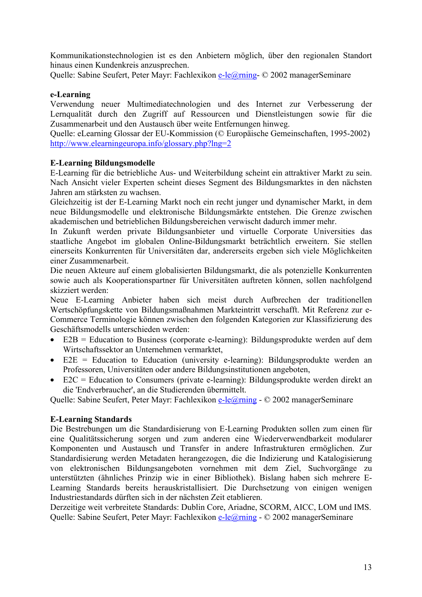<span id="page-12-0"></span>Kommunikationstechnologien ist es den Anbietern möglich, über den regionalen Standort hinaus einen Kundenkreis anzusprechen.

Quelle: Sabine Seufert, Peter Mayr: Fachlexikon [e-le@rning-](mailto:e-le@rning) © 2002 managerSeminare

#### **e-Learning**

Verwendung neuer Multimediatechnologien und des Internet zur Verbesserung der Lernqualität durch den Zugriff auf Ressourcen und Dienstleistungen sowie für die Zusammenarbeit und den Austausch über weite Entfernungen hinweg.

Quelle: eLearning Glossar der EU-Kommission (© Europäische Gemeinschaften, 1995-2002) <http://www.elearningeuropa.info/glossary.php?lng=2>

#### **E-Learning Bildungsmodelle**

E-Learning für die betriebliche Aus- und Weiterbildung scheint ein attraktiver Markt zu sein. Nach Ansicht vieler Experten scheint dieses Segment des Bildungsmarktes in den nächsten Jahren am stärksten zu wachsen.

Gleichzeitig ist der E-Learning Markt noch ein recht junger und dynamischer Markt, in dem neue Bildungsmodelle und elektronische Bildungsmärkte entstehen. Die Grenze zwischen akademischen und betrieblichen Bildungsbereichen verwischt dadurch immer mehr.

In Zukunft werden private Bildungsanbieter und virtuelle Corporate Universities das staatliche Angebot im globalen Online-Bildungsmarkt beträchtlich erweitern. Sie stellen einerseits Konkurrenten für Universitäten dar, andererseits ergeben sich viele Möglichkeiten einer Zusammenarbeit.

Die neuen Akteure auf einem globalisierten Bildungsmarkt, die als potenzielle Konkurrenten sowie auch als Kooperationspartner für Universitäten auftreten können, sollen nachfolgend skizziert werden:

Neue E-Learning Anbieter haben sich meist durch Aufbrechen der traditionellen Wertschöpfungskette von Bildungsmaßnahmen Markteintritt verschafft. Mit Referenz zur e-Commerce Terminologie können zwischen den folgenden Kategorien zur Klassifizierung des Geschäftsmodells unterschieden werden:

- E2B = Education to Business (corporate e-learning): Bildungsprodukte werden auf dem Wirtschaftssektor an Unternehmen vermarktet,
- E2E = Education to Education (university e-learning): Bildungsprodukte werden an Professoren, Universitäten oder andere Bildungsinstitutionen angeboten,
- $E2C =$  Education to Consumers (private e-learning): Bildungsprodukte werden direkt an die 'Endverbraucher', an die Studierenden übermittelt.

Quelle: Sabine Seufert, Peter Mayr: Fachlexikon [e-le@rning](mailto:e-le@rning) - © 2002 managerSeminare

#### **E-Learning Standards**

Die Bestrebungen um die Standardisierung von E-Learning Produkten sollen zum einen für eine Qualitätssicherung sorgen und zum anderen eine Wiederverwendbarkeit modularer Komponenten und Austausch und Transfer in andere Infrastrukturen ermöglichen. Zur Standardisierung werden Metadaten herangezogen, die die Indizierung und Katalogisierung von elektronischen Bildungsangeboten vornehmen mit dem Ziel, Suchvorgänge zu unterstützten (ähnliches Prinzip wie in einer Bibliothek). Bislang haben sich mehrere E-Learning Standards bereits herauskristallisiert. Die Durchsetzung von einigen wenigen Industriestandards dürften sich in der nächsten Zeit etablieren.

Derzeitige weit verbreitete Standards: Dublin Core, Ariadne, SCORM, AICC, LOM und IMS. Quelle: Sabine Seufert, Peter Mayr: Fachlexikon [e-le@rning](mailto:e-le@rning) - © 2002 managerSeminare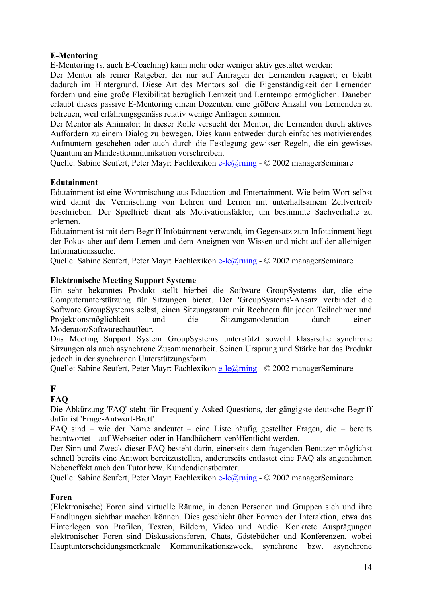### <span id="page-13-0"></span>**E-Mentoring**

E-Mentoring (s. auch E-Coaching) kann mehr oder weniger aktiv gestaltet werden:

Der Mentor als reiner Ratgeber, der nur auf Anfragen der Lernenden reagiert; er bleibt dadurch im Hintergrund. Diese Art des Mentors soll die Eigenständigkeit der Lernenden fördern und eine große Flexibilität bezüglich Lernzeit und Lerntempo ermöglichen. Daneben erlaubt dieses passive E-Mentoring einem Dozenten, eine größere Anzahl von Lernenden zu betreuen, weil erfahrungsgemäss relativ wenige Anfragen kommen.

Der Mentor als Animator: In dieser Rolle versucht der Mentor, die Lernenden durch aktives Auffordern zu einem Dialog zu bewegen. Dies kann entweder durch einfaches motivierendes Aufmuntern geschehen oder auch durch die Festlegung gewisser Regeln, die ein gewisses Quantum an Mindestkommunikation vorschreiben.

Quelle: Sabine Seufert, Peter Mayr: Fachlexikon [e-le@rning](mailto:e-le@rning) - © 2002 managerSeminare

#### **Edutainment**

Edutainment ist eine Wortmischung aus Education und Entertainment. Wie beim Wort selbst wird damit die Vermischung von Lehren und Lernen mit unterhaltsamem Zeitvertreib beschrieben. Der Spieltrieb dient als Motivationsfaktor, um bestimmte Sachverhalte zu erlernen.

Edutainment ist mit dem Begriff Infotainment verwandt, im Gegensatz zum Infotainment liegt der Fokus aber auf dem Lernen und dem Aneignen von Wissen und nicht auf der alleinigen Informationssuche.

Quelle: Sabine Seufert, Peter Mayr: Fachlexikon [e-le@rning](mailto:e-le@rning) - © 2002 managerSeminare

#### **Elektronische Meeting Support Systeme**

Ein sehr bekanntes Produkt stellt hierbei die Software GroupSystems dar, die eine Computerunterstützung für Sitzungen bietet. Der 'GroupSystems'-Ansatz verbindet die Software GroupSystems selbst, einen Sitzungsraum mit Rechnern für jeden Teilnehmer und Projektionsmöglichkeit und die Sitzungsmoderation durch einen Moderator/Softwarechauffeur.

Das Meeting Support System GroupSystems unterstützt sowohl klassische synchrone Sitzungen als auch asynchrone Zusammenarbeit. Seinen Ursprung und Stärke hat das Produkt jedoch in der synchronen Unterstützungsform.

Quelle: Sabine Seufert, Peter Mayr: Fachlexikon [e-le@rning](mailto:e-le@rning) - © 2002 managerSeminare

## **F**

## **FAQ**

Die Abkürzung 'FAQ' steht für Frequently Asked Questions, der gängigste deutsche Begriff dafür ist 'Frage-Antwort-Brett'.

FAQ sind – wie der Name andeutet – eine Liste häufig gestellter Fragen, die – bereits beantwortet – auf Webseiten oder in Handbüchern veröffentlicht werden.

Der Sinn und Zweck dieser FAQ besteht darin, einerseits dem fragenden Benutzer möglichst schnell bereits eine Antwort bereitzustellen, andererseits entlastet eine FAQ als angenehmen Nebeneffekt auch den Tutor bzw. Kundendienstberater.

Quelle: Sabine Seufert, Peter Mayr: Fachlexikon [e-le@rning](mailto:e-le@rning) - © 2002 managerSeminare

#### **Foren**

(Elektronische) Foren sind virtuelle Räume, in denen Personen und Gruppen sich und ihre Handlungen sichtbar machen können. Dies geschieht über Formen der Interaktion, etwa das Hinterlegen von Profilen, Texten, Bildern, Video und Audio. Konkrete Ausprägungen elektronischer Foren sind Diskussionsforen, Chats, Gästebücher und Konferenzen, wobei Hauptunterscheidungsmerkmale Kommunikationszweck, synchrone bzw. asynchrone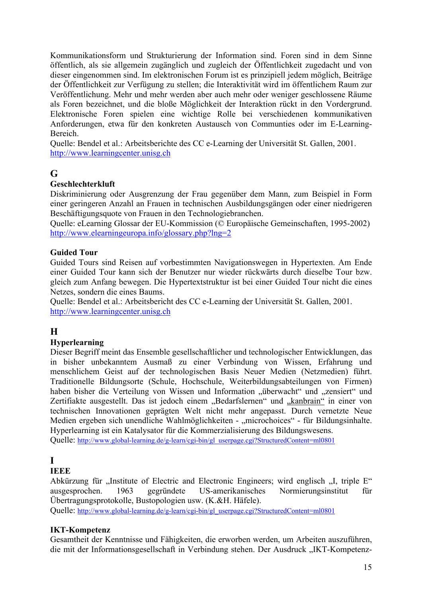<span id="page-14-0"></span>Kommunikationsform und Strukturierung der Information sind. Foren sind in dem Sinne öffentlich, als sie allgemein zugänglich und zugleich der Öffentlichkeit zugedacht und von dieser eingenommen sind. Im elektronischen Forum ist es prinzipiell jedem möglich, Beiträge der Öffentlichkeit zur Verfügung zu stellen; die Interaktivität wird im öffentlichem Raum zur Veröffentlichung. Mehr und mehr werden aber auch mehr oder weniger geschlossene Räume als Foren bezeichnet, und die bloße Möglichkeit der Interaktion rückt in den Vordergrund. Elektronische Foren spielen eine wichtige Rolle bei verschiedenen kommunikativen Anforderungen, etwa für den konkreten Austausch von Communties oder im E-Learning-Bereich.

Quelle: Bendel et al.: Arbeitsberichte des CC e-Learning der Universität St. Gallen, 2001. [http://www.learningcenter.unisg.ch](http://www.learningcenter.unisg.ch/)

## **G**

### **Geschlechterkluft**

Diskriminierung oder Ausgrenzung der Frau gegenüber dem Mann, zum Beispiel in Form einer geringeren Anzahl an Frauen in technischen Ausbildungsgängen oder einer niedrigeren Beschäftigungsquote von Frauen in den Technologiebranchen.

Quelle: eLearning Glossar der EU-Kommission (© Europäische Gemeinschaften, 1995-2002) <http://www.elearningeuropa.info/glossary.php?lng=2>

### **Guided Tour**

Guided Tours sind Reisen auf vorbestimmten Navigationswegen in Hypertexten. Am Ende einer Guided Tour kann sich der Benutzer nur wieder rückwärts durch dieselbe Tour bzw. gleich zum Anfang bewegen. Die Hypertextstruktur ist bei einer Guided Tour nicht die eines Netzes, sondern die eines Baums.

Quelle: Bendel et al.: Arbeitsbericht des CC e-Learning der Universität St. Gallen, 2001. [http://www.learningcenter.unisg.ch](http://www.learningcenter.unisg.ch/)

## **H**

## **Hyperlearning**

Dieser Begriff meint das Ensemble gesellschaftlicher und technologischer Entwicklungen, das in bisher unbekanntem Ausmaß zu einer Verbindung von Wissen, Erfahrung und menschlichem Geist auf der technologischen Basis Neuer Medien (Netzmedien) führt. Traditionelle Bildungsorte (Schule, Hochschule, Weiterbildungsabteilungen von Firmen) haben bisher die Verteilung von Wissen und Information "überwacht" und "zensiert" und Zertifiakte ausgestellt. Das ist jedoch einem "Bedarfslernen" und "kanbrain" in einer von technischen Innovationen geprägten Welt nicht mehr angepasst. Durch vernetzte Neue Medien ergeben sich unendliche Wahlmöglichkeiten - "microchoices" - für Bildungsinhalte. Hyperlearning ist ein Katalysator für die Kommerzialisierung des Bildungswesens.

Quelle: [http://www.global-learning.de/g-learn/cgi-bin/gl\\_userpage.cgi?StructuredContent=ml0801](http://www.global-learning.de/g-learn/cgi-bin/gl_userpage.cgi?StructuredContent=ml0801)

## **I**

## **IEEE**

Abkürzung für "Institute of Electric and Electronic Engineers; wird englisch "I, triple E" ausgesprochen. 1963 gegründete US-amerikanisches Normierungsinstitut für Übertragungsprotokolle, Bustopologien usw. (K.&H. Häfele).

Quelle: [http://www.global-learning.de/g-learn/cgi-bin/gl\\_userpage.cgi?StructuredContent=ml0801](http://www.global-learning.de/g-learn/cgi-bin/gl_userpage.cgi?StructuredContent=ml0801)

#### **IKT-Kompetenz**

Gesamtheit der Kenntnisse und Fähigkeiten, die erworben werden, um Arbeiten auszuführen, die mit der Informationsgesellschaft in Verbindung stehen. Der Ausdruck "IKT-Kompetenz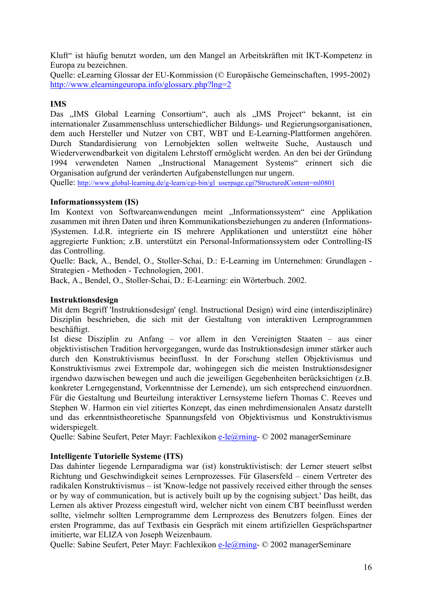<span id="page-15-0"></span>Kluft" ist häufig benutzt worden, um den Mangel an Arbeitskräften mit IKT-Kompetenz in Europa zu bezeichnen.

Quelle: eLearning Glossar der EU-Kommission (© Europäische Gemeinschaften, 1995-2002) <http://www.elearningeuropa.info/glossary.php?lng=2>

### **IMS**

Das "IMS Global Learning Consortium", auch als "IMS Project" bekannt, ist ein internationaler Zusammenschluss unterschiedlicher Bildungs- und Regierungsorganisationen, dem auch Hersteller und Nutzer von CBT, WBT und E-Learning-Plattformen angehören. Durch Standardisierung von Lernobjekten sollen weltweite Suche, Austausch und Wiederverwendbarkeit von digitalem Lehrstoff ermöglicht werden. An den bei der Gründung 1994 verwendeten Namen "Instructional Management Systems" erinnert sich die Organisation aufgrund der veränderten Aufgabenstellungen nur ungern.

Quelle: [http://www.global-learning.de/g-learn/cgi-bin/gl\\_userpage.cgi?StructuredContent=ml0801](http://www.global-learning.de/g-learn/cgi-bin/gl_userpage.cgi?StructuredContent=ml0801)

#### **Informationssystem (IS)**

Im Kontext von Softwareanwendungen meint "Informationssystem" eine Applikation zusammen mit ihren Daten und ihren Kommunikationsbeziehungen zu anderen (Informations- )Systemen. I.d.R. integrierte ein IS mehrere Applikationen und unterstützt eine höher aggregierte Funktion; z.B. unterstützt ein Personal-Informationssystem oder Controlling-IS das Controlling.

Quelle: Back, A., Bendel, O., Stoller-Schai, D.: E-Learning im Unternehmen: Grundlagen - Strategien - Methoden - Technologien, 2001.

Back, A., Bendel, O., Stoller-Schai, D.: E-Learning: ein Wörterbuch. 2002.

#### **Instruktionsdesign**

Mit dem Begriff 'Instruktionsdesign' (engl. Instructional Design) wird eine (interdisziplinäre) Disziplin beschrieben, die sich mit der Gestaltung von interaktiven Lernprogrammen beschäftigt.

Ist diese Disziplin zu Anfang – vor allem in den Vereinigten Staaten – aus einer objektivistischen Tradition hervorgegangen, wurde das Instruktionsdesign immer stärker auch durch den Konstruktivismus beeinflusst. In der Forschung stellen Objektivismus und Konstruktivismus zwei Extrempole dar, wohingegen sich die meisten Instruktionsdesigner irgendwo dazwischen bewegen und auch die jeweiligen Gegebenheiten berücksichtigen (z.B. konkreter Lerngegenstand, Vorkenntnisse der Lernende), um sich entsprechend einzuordnen. Für die Gestaltung und Beurteilung interaktiver Lernsysteme liefern Thomas C. Reeves und Stephen W. Harmon ein viel zitiertes Konzept, das einen mehrdimensionalen Ansatz darstellt und das erkenntnistheoretische Spannungsfeld von Objektivismus und Konstruktivismus widerspiegelt.

Quelle: Sabine Seufert, Peter Mayr: Fachlexikon [e-le@rning-](mailto:e-le@rning) © 2002 managerSeminare

#### **Intelligente Tutorielle Systeme (ITS)**

Das dahinter liegende Lernparadigma war (ist) konstruktivistisch: der Lerner steuert selbst Richtung und Geschwindigkeit seines Lernprozesses. Für Glasersfeld – einem Vertreter des radikalen Konstruktivismus – ist 'Know-ledge not passively received either through the senses or by way of communication, but is actively built up by the cognising subject.' Das heißt, das Lernen als aktiver Prozess eingestuft wird, welcher nicht von einem CBT beeinflusst werden sollte, vielmehr sollten Lernprogramme dem Lernprozess des Benutzers folgen. Eines der ersten Programme, das auf Textbasis ein Gespräch mit einem artifiziellen Gesprächspartner imitierte, war ELIZA von Joseph Weizenbaum.

Quelle: Sabine Seufert, Peter Mayr: Fachlexikon [e-le@rning-](mailto:e-le@rning) © 2002 managerSeminare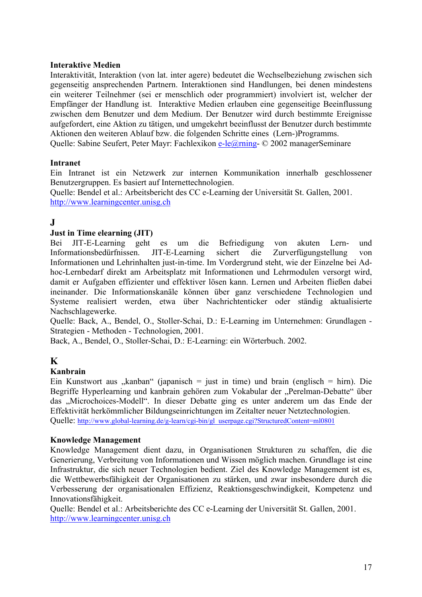#### <span id="page-16-0"></span>**Interaktive Medien**

Interaktivität, Interaktion (von lat. inter agere) bedeutet die Wechselbeziehung zwischen sich gegenseitig ansprechenden Partnern. Interaktionen sind Handlungen, bei denen mindestens ein weiterer Teilnehmer (sei er menschlich oder programmiert) involviert ist, welcher der Empfänger der Handlung ist. Interaktive Medien erlauben eine gegenseitige Beeinflussung zwischen dem Benutzer und dem Medium. Der Benutzer wird durch bestimmte Ereignisse aufgefordert, eine Aktion zu tätigen, und umgekehrt beeinflusst der Benutzer durch bestimmte Aktionen den weiteren Ablauf bzw. die folgenden Schritte eines (Lern-)Programms. Quelle: Sabine Seufert, Peter Mayr: Fachlexikon [e-le@rning-](mailto:e-le@rning) © 2002 managerSeminare

#### **Intranet**

Ein Intranet ist ein Netzwerk zur internen Kommunikation innerhalb geschlossener Benutzergruppen. Es basiert auf Internettechnologien.

Quelle: Bendel et al.: Arbeitsbericht des CC e-Learning der Universität St. Gallen, 2001. [http://www.learningcenter.unisg.ch](http://www.learningcenter.unisg.ch/)

## **J**

#### **Just in Time elearning (JIT)**

Bei JIT-E-Learning geht es um die Befriedigung von akuten Lern- und Informationsbedürfnissen. JIT-E-Learning sichert die Zurverfügungstellung von Informationen und Lehrinhalten just-in-time. Im Vordergrund steht, wie der Einzelne bei Adhoc-Lernbedarf direkt am Arbeitsplatz mit Informationen und Lehrmodulen versorgt wird, damit er Aufgaben effizienter und effektiver lösen kann. Lernen und Arbeiten fließen dabei ineinander. Die Informationskanäle können über ganz verschiedene Technologien und Systeme realisiert werden, etwa über Nachrichtenticker oder ständig aktualisierte Nachschlagewerke.

Quelle: Back, A., Bendel, O., Stoller-Schai, D.: E-Learning im Unternehmen: Grundlagen - Strategien - Methoden - Technologien, 2001.

Back, A., Bendel, O., Stoller-Schai, D.: E-Learning: ein Wörterbuch. 2002.

## **K**

#### **Kanbrain**

Ein Kunstwort aus "kanban" (japanisch = just in time) und brain (englisch = hirn). Die Begriffe Hyperlearning und kanbrain gehören zum Vokabular der "Perelman-Debatte" über das "Microchoices-Modell". In dieser Debatte ging es unter anderem um das Ende der Effektivität herkömmlicher Bildungseinrichtungen im Zeitalter neuer Netztechnologien. Quelle: [http://www.global-learning.de/g-learn/cgi-bin/gl\\_userpage.cgi?StructuredContent=ml0801](http://www.global-learning.de/g-learn/cgi-bin/gl_userpage.cgi?StructuredContent=ml0801)

#### **Knowledge Management**

Knowledge Management dient dazu, in Organisationen Strukturen zu schaffen, die die Generierung, Verbreitung von Informationen und Wissen möglich machen. Grundlage ist eine Infrastruktur, die sich neuer Technologien bedient. Ziel des Knowledge Management ist es, die Wettbewerbsfähigkeit der Organisationen zu stärken, und zwar insbesondere durch die Verbesserung der organisationalen Effizienz, Reaktionsgeschwindigkeit, Kompetenz und Innovationsfähigkeit.

Quelle: Bendel et al.: Arbeitsberichte des CC e-Learning der Universität St. Gallen, 2001. [http://www.learningcenter.unisg.ch](http://www.learningcenter.unisg.ch/)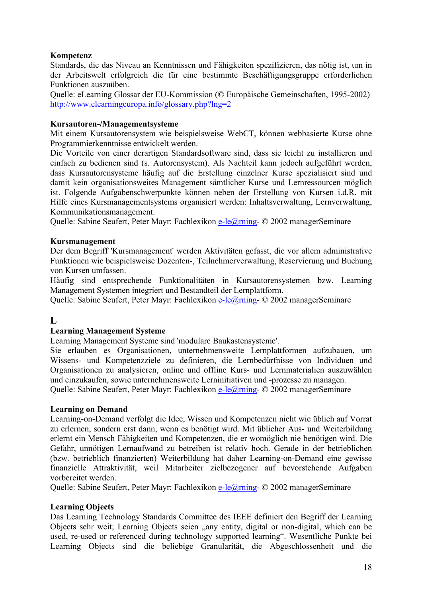#### <span id="page-17-0"></span>**Kompetenz**

Standards, die das Niveau an Kenntnissen und Fähigkeiten spezifizieren, das nötig ist, um in der Arbeitswelt erfolgreich die für eine bestimmte Beschäftigungsgruppe erforderlichen Funktionen auszuüben.

Quelle: eLearning Glossar der EU-Kommission (© Europäische Gemeinschaften, 1995-2002) <http://www.elearningeuropa.info/glossary.php?lng=2>

#### **Kursautoren-/Managementsysteme**

Mit einem Kursautorensystem wie beispielsweise WebCT, können webbasierte Kurse ohne Programmierkenntnisse entwickelt werden.

Die Vorteile von einer derartigen Standardsoftware sind, dass sie leicht zu installieren und einfach zu bedienen sind (s. Autorensystem). Als Nachteil kann jedoch aufgeführt werden, dass Kursautorensysteme häufig auf die Erstellung einzelner Kurse spezialisiert sind und damit kein organisationsweites Management sämtlicher Kurse und Lernressourcen möglich ist. Folgende Aufgabenschwerpunkte können neben der Erstellung von Kursen i.d.R. mit Hilfe eines Kursmanagementsystems organisiert werden: Inhaltsverwaltung, Lernverwaltung, Kommunikationsmanagement.

Quelle: Sabine Seufert, Peter Mayr: Fachlexikon [e-le@rning-](mailto:e-le@rning) © 2002 managerSeminare

#### **Kursmanagement**

Der dem Begriff 'Kursmanagement' werden Aktivitäten gefasst, die vor allem administrative Funktionen wie beispielsweise Dozenten-, Teilnehmerverwaltung, Reservierung und Buchung von Kursen umfassen.

Häufig sind entsprechende Funktionalitäten in Kursautorensystemen bzw. Learning Management Systemen integriert und Bestandteil der Lernplattform.

Quelle: Sabine Seufert, Peter Mayr: Fachlexikon [e-le@rning-](mailto:e-le@rning) © 2002 managerSeminare

## **L**

#### **Learning Management Systeme**

Learning Management Systeme sind 'modulare Baukastensysteme'.

Sie erlauben es Organisationen, unternehmensweite Lernplattformen aufzubauen, um Wissens- und Kompetenzziele zu definieren, die Lernbedürfnisse von Individuen und Organisationen zu analysieren, online und offline Kurs- und Lernmaterialien auszuwählen und einzukaufen, sowie unternehmensweite Lerninitiativen und -prozesse zu managen. Quelle: Sabine Seufert, Peter Mayr: Fachlexikon [e-le@rning-](mailto:e-le@rning) © 2002 managerSeminare

#### **Learning on Demand**

Learning-on-Demand verfolgt die Idee, Wissen und Kompetenzen nicht wie üblich auf Vorrat zu erlernen, sondern erst dann, wenn es benötigt wird. Mit üblicher Aus- und Weiterbildung erlernt ein Mensch Fähigkeiten und Kompetenzen, die er womöglich nie benötigen wird. Die Gefahr, unnötigen Lernaufwand zu betreiben ist relativ hoch. Gerade in der betrieblichen (bzw. betrieblich finanzierten) Weiterbildung hat daher Learning-on-Demand eine gewisse finanzielle Attraktivität, weil Mitarbeiter zielbezogener auf bevorstehende Aufgaben vorbereitet werden.

Quelle: Sabine Seufert, Peter Mayr: Fachlexikon [e-le@rning-](mailto:e-le@rning) © 2002 managerSeminare

#### **Learning Objects**

Das Learning Technology Standards Committee des IEEE definiert den Begriff der Learning Objects sehr weit; Learning Objects seien "any entity, digital or non-digital, which can be used, re-used or referenced during technology supported learning". Wesentliche Punkte bei Learning Objects sind die beliebige Granularität, die Abgeschlossenheit und die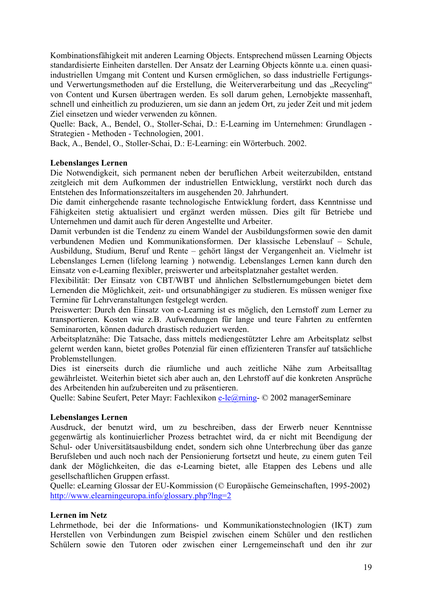<span id="page-18-0"></span>Kombinationsfähigkeit mit anderen Learning Objects. Entsprechend müssen Learning Objects standardisierte Einheiten darstellen. Der Ansatz der Learning Objects könnte u.a. einen quasiindustriellen Umgang mit Content und Kursen ermöglichen, so dass industrielle Fertigungsund Verwertungsmethoden auf die Erstellung, die Weiterverarbeitung und das "Recycling" von Content und Kursen übertragen werden. Es soll darum gehen, Lernobjekte massenhaft, schnell und einheitlich zu produzieren, um sie dann an jedem Ort, zu jeder Zeit und mit jedem Ziel einsetzen und wieder verwenden zu können.

Quelle: Back, A., Bendel, O., Stoller-Schai, D.: E-Learning im Unternehmen: Grundlagen - Strategien - Methoden - Technologien, 2001.

Back, A., Bendel, O., Stoller-Schai, D.: E-Learning: ein Wörterbuch. 2002.

#### **Lebenslanges Lernen**

Die Notwendigkeit, sich permanent neben der beruflichen Arbeit weiterzubilden, entstand zeitgleich mit dem Aufkommen der industriellen Entwicklung, verstärkt noch durch das Entstehen des Informationszeitalters im ausgehenden 20. Jahrhundert.

Die damit einhergehende rasante technologische Entwicklung fordert, dass Kenntnisse und Fähigkeiten stetig aktualisiert und ergänzt werden müssen. Dies gilt für Betriebe und Unternehmen und damit auch für deren Angestellte und Arbeiter.

Damit verbunden ist die Tendenz zu einem Wandel der Ausbildungsformen sowie den damit verbundenen Medien und Kommunikationsformen. Der klassische Lebenslauf – Schule, Ausbildung, Studium, Beruf und Rente – gehört längst der Vergangenheit an. Vielmehr ist Lebenslanges Lernen (lifelong learning ) notwendig. Lebenslanges Lernen kann durch den Einsatz von e-Learning flexibler, preiswerter und arbeitsplatznaher gestaltet werden.

Flexibilität: Der Einsatz von CBT/WBT und ähnlichen Selbstlernumgebungen bietet dem Lernenden die Möglichkeit, zeit- und ortsunabhängiger zu studieren. Es müssen weniger fixe Termine für Lehrveranstaltungen festgelegt werden.

Preiswerter: Durch den Einsatz von e-Learning ist es möglich, den Lernstoff zum Lerner zu transportieren. Kosten wie z.B. Aufwendungen für lange und teure Fahrten zu entfernten Seminarorten, können dadurch drastisch reduziert werden.

Arbeitsplatznähe: Die Tatsache, dass mittels mediengestützter Lehre am Arbeitsplatz selbst gelernt werden kann, bietet großes Potenzial für einen effizienteren Transfer auf tatsächliche Problemstellungen.

Dies ist einerseits durch die räumliche und auch zeitliche Nähe zum Arbeitsalltag gewährleistet. Weiterhin bietet sich aber auch an, den Lehrstoff auf die konkreten Ansprüche des Arbeitenden hin aufzubereiten und zu präsentieren.

Quelle: Sabine Seufert, Peter Mayr: Fachlexikon [e-le@rning-](mailto:e-le@rning) © 2002 managerSeminare

#### **Lebenslanges Lernen**

Ausdruck, der benutzt wird, um zu beschreiben, dass der Erwerb neuer Kenntnisse gegenwärtig als kontinuierlicher Prozess betrachtet wird, da er nicht mit Beendigung der Schul- oder Universitätsausbildung endet, sondern sich ohne Unterbrechung über das ganze Berufsleben und auch noch nach der Pensionierung fortsetzt und heute, zu einem guten Teil dank der Möglichkeiten, die das e-Learning bietet, alle Etappen des Lebens und alle gesellschaftlichen Gruppen erfasst.

Quelle: eLearning Glossar der EU-Kommission (© Europäische Gemeinschaften, 1995-2002) <http://www.elearningeuropa.info/glossary.php?lng=2>

#### **Lernen im Netz**

Lehrmethode, bei der die Informations- und Kommunikationstechnologien (IKT) zum Herstellen von Verbindungen zum Beispiel zwischen einem Schüler und den restlichen Schülern sowie den Tutoren oder zwischen einer Lerngemeinschaft und den ihr zur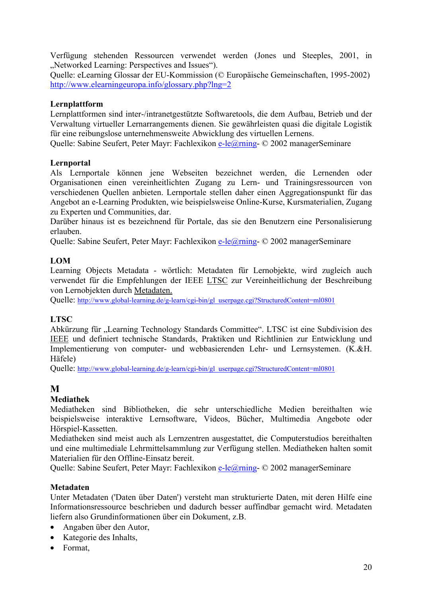<span id="page-19-0"></span>Verfügung stehenden Ressourcen verwendet werden (Jones und Steeples, 2001, in . Networked Learning: Perspectives and Issues").

Quelle: eLearning Glossar der EU-Kommission (© Europäische Gemeinschaften, 1995-2002) <http://www.elearningeuropa.info/glossary.php?lng=2>

### **Lernplattform**

Lernplattformen sind inter-/intranetgestützte Softwaretools, die dem Aufbau, Betrieb und der Verwaltung virtueller Lernarrangements dienen. Sie gewährleisten quasi die digitale Logistik für eine reibungslose unternehmensweite Abwicklung des virtuellen Lernens.

Quelle: Sabine Seufert, Peter Mayr: Fachlexikon [e-le@rning-](mailto:e-le@rning) © 2002 managerSeminare

### **Lernportal**

Als Lernportale können jene Webseiten bezeichnet werden, die Lernenden oder Organisationen einen vereinheitlichten Zugang zu Lern- und Trainingsressourcen von verschiedenen Quellen anbieten. Lernportale stellen daher einen Aggregationspunkt für das Angebot an e-Learning Produkten, wie beispielsweise Online-Kurse, Kursmaterialien, Zugang zu Experten und Communities, dar.

Darüber hinaus ist es bezeichnend für Portale, das sie den Benutzern eine Personalisierung erlauben.

Quelle: Sabine Seufert, Peter Mayr: Fachlexikon [e-le@rning-](mailto:e-le@rning) © 2002 managerSeminare

## **LOM**

Learning Objects Metadata - wörtlich: Metadaten für Lernobjekte, wird zugleich auch verwendet für die Empfehlungen der IEEE LTSC zur Vereinheitlichung der Beschreibung von Lernobjekten durch Metadaten.

Quelle: [http://www.global-learning.de/g-learn/cgi-bin/gl\\_userpage.cgi?StructuredContent=ml0801](http://www.global-learning.de/g-learn/cgi-bin/gl_userpage.cgi?StructuredContent=ml0801)

## **LTSC**

Abkürzung für "Learning Technology Standards Committee". LTSC ist eine Subdivision des IEEE und definiert technische Standards, Praktiken und Richtlinien zur Entwicklung und Implementierung von computer- und webbasierenden Lehr- und Lernsystemen. (K.&H. Häfele)

Quelle: [http://www.global-learning.de/g-learn/cgi-bin/gl\\_userpage.cgi?StructuredContent=ml0801](http://www.global-learning.de/g-learn/cgi-bin/gl_userpage.cgi?StructuredContent=ml0801)

## **M**

## **Mediathek**

Mediatheken sind Bibliotheken, die sehr unterschiedliche Medien bereithalten wie beispielsweise interaktive Lernsoftware, Videos, Bücher, Multimedia Angebote oder Hörspiel-Kassetten.

Mediatheken sind meist auch als Lernzentren ausgestattet, die Computerstudios bereithalten und eine multimediale Lehrmittelsammlung zur Verfügung stellen. Mediatheken halten somit Materialien für den Offline-Einsatz bereit.

Quelle: Sabine Seufert, Peter Mayr: Fachlexikon [e-le@rning-](mailto:e-le@rning) © 2002 managerSeminare

#### **Metadaten**

Unter Metadaten ('Daten über Daten') versteht man strukturierte Daten, mit deren Hilfe eine Informationsressource beschrieben und dadurch besser auffindbar gemacht wird. Metadaten liefern also Grundinformationen über ein Dokument, z.B.

- Angaben über den Autor,
- Kategorie des Inhalts,
- Format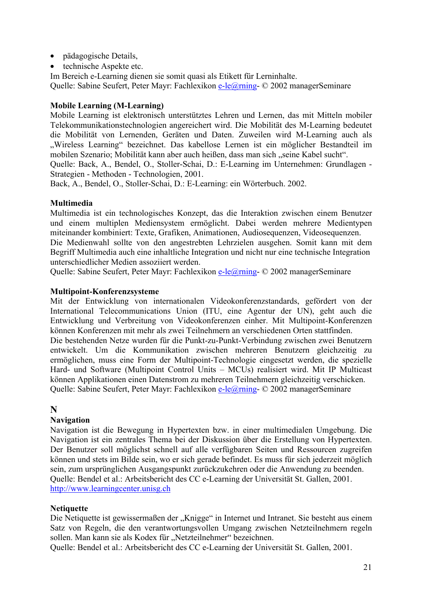- <span id="page-20-0"></span>• pädagogische Details,
- technische Aspekte etc.

Im Bereich e-Learning dienen sie somit quasi als Etikett für Lerninhalte. Quelle: Sabine Seufert, Peter Mayr: Fachlexikon [e-le@rning-](mailto:e-le@rning) © 2002 managerSeminare

#### **Mobile Learning (M-Learning)**

Mobile Learning ist elektronisch unterstütztes Lehren und Lernen, das mit Mitteln mobiler Telekommunikationstechnologien angereichert wird. Die Mobilität des M-Learning bedeutet die Mobilität von Lernenden, Geräten und Daten. Zuweilen wird M-Learning auch als "Wireless Learning" bezeichnet. Das kabellose Lernen ist ein möglicher Bestandteil im mobilen Szenario; Mobilität kann aber auch heißen, dass man sich "seine Kabel sucht".

Quelle: Back, A., Bendel, O., Stoller-Schai, D.: E-Learning im Unternehmen: Grundlagen - Strategien - Methoden - Technologien, 2001.

Back, A., Bendel, O., Stoller-Schai, D.: E-Learning: ein Wörterbuch. 2002.

#### **Multimedia**

Multimedia ist ein technologisches Konzept, das die Interaktion zwischen einem Benutzer und einem multiplen Mediensystem ermöglicht. Dabei werden mehrere Medientypen miteinander kombiniert: Texte, Grafiken, Animationen, Audiosequenzen, Videosequenzen. Die Medienwahl sollte von den angestrebten Lehrzielen ausgehen. Somit kann mit dem Begriff Multimedia auch eine inhaltliche Integration und nicht nur eine technische Integration

Quelle: Sabine Seufert, Peter Mayr: Fachlexikon [e-le@rning-](mailto:e-le@rning) © 2002 managerSeminare

#### **Multipoint-Konferenzsysteme**

unterschiedlicher Medien assoziiert werden.

Mit der Entwicklung von internationalen Videokonferenzstandards, gefördert von der International Telecommunications Union (ITU, eine Agentur der UN), geht auch die Entwicklung und Verbreitung von Videokonferenzen einher. Mit Multipoint-Konferenzen können Konferenzen mit mehr als zwei Teilnehmern an verschiedenen Orten stattfinden.

Die bestehenden Netze wurden für die Punkt-zu-Punkt-Verbindung zwischen zwei Benutzern entwickelt. Um die Kommunikation zwischen mehreren Benutzern gleichzeitig zu ermöglichen, muss eine Form der Multipoint-Technologie eingesetzt werden, die spezielle Hard- und Software (Multipoint Control Units – MCUs) realisiert wird. Mit IP Multicast können Applikationen einen Datenstrom zu mehreren Teilnehmern gleichzeitig verschicken. Quelle: Sabine Seufert, Peter Mayr: Fachlexikon [e-le@rning-](mailto:e-le@rning) © 2002 managerSeminare

## **N**

#### **Navigation**

Navigation ist die Bewegung in Hypertexten bzw. in einer multimedialen Umgebung. Die Navigation ist ein zentrales Thema bei der Diskussion über die Erstellung von Hypertexten. Der Benutzer soll möglichst schnell auf alle verfügbaren Seiten und Ressourcen zugreifen können und stets im Bilde sein, wo er sich gerade befindet. Es muss für sich jederzeit möglich sein, zum ursprünglichen Ausgangspunkt zurückzukehren oder die Anwendung zu beenden. Quelle: Bendel et al.: Arbeitsbericht des CC e-Learning der Universität St. Gallen, 2001. [http://www.learningcenter.unisg.ch](http://www.learningcenter.unisg.ch/)

#### **Netiquette**

Die Netiquette ist gewissermaßen der "Knigge" in Internet und Intranet. Sie besteht aus einem Satz von Regeln, die den verantwortungsvollen Umgang zwischen Netzteilnehmern regeln sollen. Man kann sie als Kodex für "Netzteilnehmer" bezeichnen.

Quelle: Bendel et al.: Arbeitsbericht des CC e-Learning der Universität St. Gallen, 2001.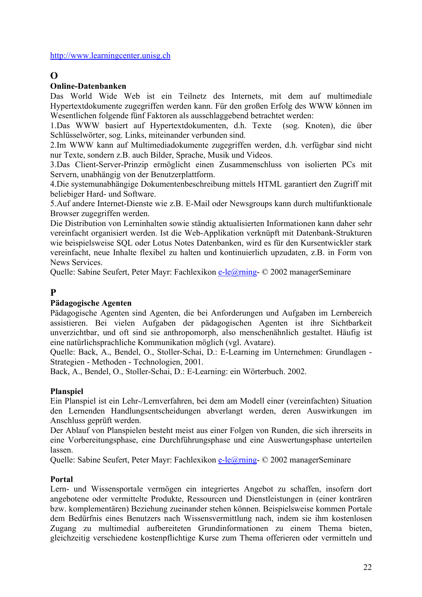#### <span id="page-21-0"></span>[http://www.learningcenter.unisg.ch](http://www.learningcenter.unisg.ch/)

## **O**

### **Online-Datenbanken**

Das World Wide Web ist ein Teilnetz des Internets, mit dem auf multimediale Hypertextdokumente zugegriffen werden kann. Für den großen Erfolg des WWW können im Wesentlichen folgende fünf Faktoren als ausschlaggebend betrachtet werden:

1.Das WWW basiert auf Hypertextdokumenten, d.h. Texte (sog. Knoten), die über Schlüsselwörter, sog. Links, miteinander verbunden sind.

2.Im WWW kann auf Multimediadokumente zugegriffen werden, d.h. verfügbar sind nicht nur Texte, sondern z.B. auch Bilder, Sprache, Musik und Videos.

3.Das Client-Server-Prinzip ermöglicht einen Zusammenschluss von isolierten PCs mit Servern, unabhängig von der Benutzerplattform.

4.Die systemunabhängige Dokumentenbeschreibung mittels HTML garantiert den Zugriff mit beliebiger Hard- und Software.

5.Auf andere Internet-Dienste wie z.B. E-Mail oder Newsgroups kann durch multifunktionale Browser zugegriffen werden.

Die Distribution von Lerninhalten sowie ständig aktualisierten Informationen kann daher sehr vereinfacht organisiert werden. Ist die Web-Applikation verknüpft mit Datenbank-Strukturen wie beispielsweise SQL oder Lotus Notes Datenbanken, wird es für den Kursentwickler stark vereinfacht, neue Inhalte flexibel zu halten und kontinuierlich upzudaten, z.B. in Form von News Services.

Quelle: Sabine Seufert, Peter Mayr: Fachlexikon [e-le@rning-](mailto:e-le@rning) © 2002 managerSeminare

## **P**

## **Pädagogische Agenten**

Pädagogische Agenten sind Agenten, die bei Anforderungen und Aufgaben im Lernbereich assistieren. Bei vielen Aufgaben der pädagogischen Agenten ist ihre Sichtbarkeit unverzichtbar, und oft sind sie anthropomorph, also menschenähnlich gestaltet. Häufig ist eine natürlichsprachliche Kommunikation möglich (vgl. Avatare).

Quelle: Back, A., Bendel, O., Stoller-Schai, D.: E-Learning im Unternehmen: Grundlagen - Strategien - Methoden - Technologien, 2001.

Back, A., Bendel, O., Stoller-Schai, D.: E-Learning: ein Wörterbuch. 2002.

## **Planspiel**

Ein Planspiel ist ein Lehr-/Lernverfahren, bei dem am Modell einer (vereinfachten) Situation den Lernenden Handlungsentscheidungen abverlangt werden, deren Auswirkungen im Anschluss geprüft werden.

Der Ablauf von Planspielen besteht meist aus einer Folgen von Runden, die sich ihrerseits in eine Vorbereitungsphase, eine Durchführungsphase und eine Auswertungsphase unterteilen lassen.

Quelle: Sabine Seufert, Peter Mayr: Fachlexikon [e-le@rning-](mailto:e-le@rning) © 2002 managerSeminare

#### **Portal**

Lern- und Wissensportale vermögen ein integriertes Angebot zu schaffen, insofern dort angebotene oder vermittelte Produkte, Ressourcen und Dienstleistungen in (einer konträren bzw. komplementären) Beziehung zueinander stehen können. Beispielsweise kommen Portale dem Bedürfnis eines Benutzers nach Wissensvermittlung nach, indem sie ihm kostenlosen Zugang zu multimedial aufbereiteten Grundinformationen zu einem Thema bieten, gleichzeitig verschiedene kostenpflichtige Kurse zum Thema offerieren oder vermitteln und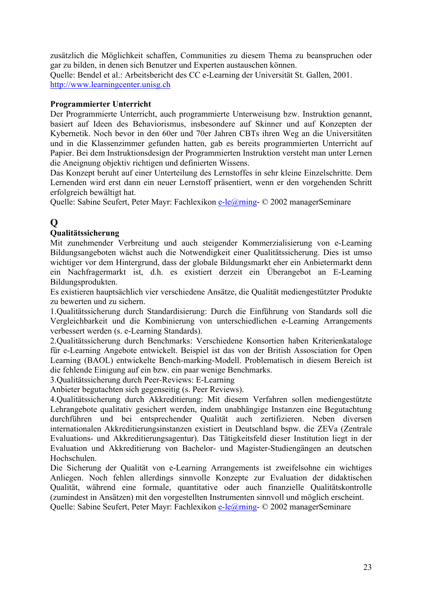<span id="page-22-0"></span>zusätzlich die Möglichkeit schaffen, Communities zu diesem Thema zu beanspruchen oder gar zu bilden, in denen sich Benutzer und Experten austauschen können. Quelle: Bendel et al.: Arbeitsbericht des CC e-Learning der Universität St. Gallen, 2001. [http://www.learningcenter.unisg.ch](http://www.learningcenter.unisg.ch/)

### **Programmierter Unterricht**

Der Programmierte Unterricht, auch programmierte Unterweisung bzw. Instruktion genannt, basiert auf Ideen des Behaviorismus, insbesondere auf Skinner und auf Konzepten der Kybernetik. Noch bevor in den 60er und 70er Jahren CBTs ihren Weg an die Universitäten und in die Klassenzimmer gefunden hatten, gab es bereits programmierten Unterricht auf Papier. Bei dem Instruktionsdesign der Programmierten Instruktion versteht man unter Lernen die Aneignung objektiv richtigen und definierten Wissens.

Das Konzept beruht auf einer Unterteilung des Lernstoffes in sehr kleine Einzelschritte. Dem Lernenden wird erst dann ein neuer Lernstoff präsentiert, wenn er den vorgehenden Schritt erfolgreich bewältigt hat.

Quelle: Sabine Seufert, Peter Mayr: Fachlexikon [e-le@rning-](mailto:e-le@rning) © 2002 managerSeminare

## **Q**

### **Qualitätssicherung**

Mit zunehmender Verbreitung und auch steigender Kommerzialisierung von e-Learning Bildungsangeboten wächst auch die Notwendigkeit einer Qualitätssicherung. Dies ist umso wichtiger vor dem Hintergrund, dass der globale Bildungsmarkt eher ein Anbietermarkt denn ein Nachfragermarkt ist, d.h. es existiert derzeit ein Überangebot an E-Learning Bildungsprodukten.

Es existieren hauptsächlich vier verschiedene Ansätze, die Qualität mediengestützter Produkte zu bewerten und zu sichern.

1.Qualitätssicherung durch Standardisierung: Durch die Einführung von Standards soll die Vergleichbarkeit und die Kombinierung von unterschiedlichen e-Learning Arrangements verbessert werden (s. e-Learning Standards).

2.Qualitätssicherung durch Benchmarks: Verschiedene Konsortien haben Kriterienkataloge für e-Learning Angebote entwickelt. Beispiel ist das von der British Assosciation for Open Learning (BAOL) entwickelte Bench-marking-Modell. Problematisch in diesem Bereich ist die fehlende Einigung auf ein bzw. ein paar wenige Benchmarks.

3.Qualitätssicherung durch Peer-Reviews: E-Learning

Anbieter begutachten sich gegenseitig (s. Peer Reviews).

4.Qualitätssicherung durch Akkreditierung: Mit diesem Verfahren sollen mediengestützte Lehrangebote qualitativ gesichert werden, indem unabhängige Instanzen eine Begutachtung durchführen und bei entsprechender Qualität auch zertifizieren. Neben diversen internationalen Akkreditierungsinstanzen existiert in Deutschland bspw. die ZEVa (Zentrale Evaluations- und Akkreditierungsagentur). Das Tätigkeitsfeld dieser Institution liegt in der Evaluation und Akkreditierung von Bachelor- und Magister-Studiengängen an deutschen Hochschulen.

Die Sicherung der Qualität von e-Learning Arrangements ist zweifelsohne ein wichtiges Anliegen. Noch fehlen allerdings sinnvolle Konzepte zur Evaluation der didaktischen Qualität, während eine formale, quantitative oder auch finanzielle Qualitätskontrolle (zumindest in Ansätzen) mit den vorgestellten Instrumenten sinnvoll und möglich erscheint. Quelle: Sabine Seufert, Peter Mayr: Fachlexikon [e-le@rning-](mailto:e-le@rning) © 2002 managerSeminare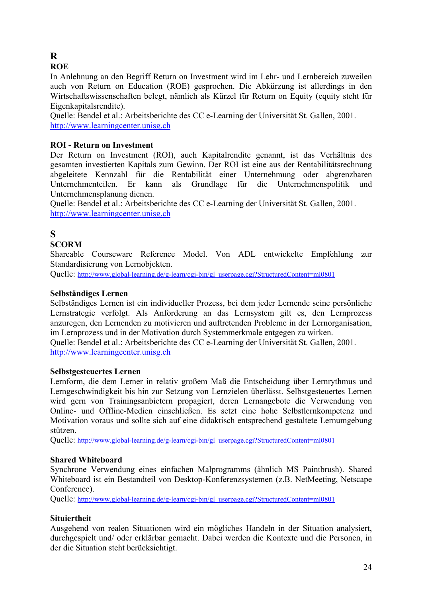# <span id="page-23-0"></span>**R**

**ROE**

In Anlehnung an den Begriff Return on Investment wird im Lehr- und Lernbereich zuweilen auch von Return on Education (ROE) gesprochen. Die Abkürzung ist allerdings in den Wirtschaftswissenschaften belegt, nämlich als Kürzel für Return on Equity (equity steht für Eigenkapitalsrendite).

Quelle: Bendel et al.: Arbeitsberichte des CC e-Learning der Universität St. Gallen, 2001. [http://www.learningcenter.unisg.ch](http://www.learningcenter.unisg.ch/)

## **ROI - Return on Investment**

Der Return on Investment (ROI), auch Kapitalrendite genannt, ist das Verhältnis des gesamten investierten Kapitals zum Gewinn. Der ROI ist eine aus der Rentabilitätsrechnung abgeleitete Kennzahl für die Rentabilität einer Unternehmung oder abgrenzbaren Unternehmenteilen. Er kann als Grundlage für die Unternehmenspolitik und Unternehmensplanung dienen.

Quelle: Bendel et al.: Arbeitsberichte des CC e-Learning der Universität St. Gallen, 2001. [http://www.learningcenter.unisg.ch](http://www.learningcenter.unisg.ch/)

## **S**

## **SCORM**

Shareable Courseware Reference Model. Von ADL entwickelte Empfehlung zur Standardisierung von Lernobjekten.

Quelle: [http://www.global-learning.de/g-learn/cgi-bin/gl\\_userpage.cgi?StructuredContent=ml0801](http://www.global-learning.de/g-learn/cgi-bin/gl_userpage.cgi?StructuredContent=ml0801)

## **Selbständiges Lernen**

Selbständiges Lernen ist ein individueller Prozess, bei dem jeder Lernende seine persönliche Lernstrategie verfolgt. Als Anforderung an das Lernsystem gilt es, den Lernprozess anzuregen, den Lernenden zu motivieren und auftretenden Probleme in der Lernorganisation, im Lernprozess und in der Motivation durch Systemmerkmale entgegen zu wirken. Quelle: Bendel et al.: Arbeitsberichte des CC e-Learning der Universität St. Gallen, 2001.

[http://www.learningcenter.unisg.ch](http://www.learningcenter.unisg.ch/)

#### **Selbstgesteuertes Lernen**

Lernform, die dem Lerner in relativ großem Maß die Entscheidung über Lernrythmus und Lerngeschwindigkeit bis hin zur Setzung von Lernzielen überlässt. Selbstgesteuertes Lernen wird gern von Trainingsanbietern propagiert, deren Lernangebote die Verwendung von Online- und Offline-Medien einschließen. Es setzt eine hohe Selbstlernkompetenz und Motivation voraus und sollte sich auf eine didaktisch entsprechend gestaltete Lernumgebung stützen.

Quelle: [http://www.global-learning.de/g-learn/cgi-bin/gl\\_userpage.cgi?StructuredContent=ml0801](http://www.global-learning.de/g-learn/cgi-bin/gl_userpage.cgi?StructuredContent=ml0801)

#### **Shared Whiteboard**

Synchrone Verwendung eines einfachen Malprogramms (ähnlich MS Paintbrush). Shared Whiteboard ist ein Bestandteil von Desktop-Konferenzsystemen (z.B. NetMeeting, Netscape Conference).

Quelle: [http://www.global-learning.de/g-learn/cgi-bin/gl\\_userpage.cgi?StructuredContent=ml0801](http://www.global-learning.de/g-learn/cgi-bin/gl_userpage.cgi?StructuredContent=ml0801)

## **Situiertheit**

Ausgehend von realen Situationen wird ein mögliches Handeln in der Situation analysiert, durchgespielt und/ oder erklärbar gemacht. Dabei werden die Kontexte und die Personen, in der die Situation steht berücksichtigt.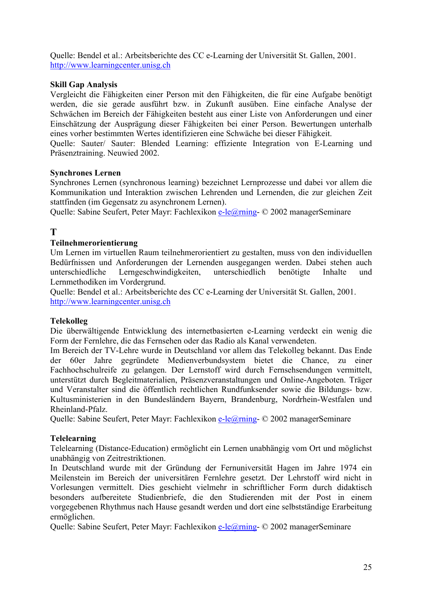<span id="page-24-0"></span>Quelle: Bendel et al.: Arbeitsberichte des CC e-Learning der Universität St. Gallen, 2001. [http://www.learningcenter.unisg.ch](http://www.learningcenter.unisg.ch/)

### **Skill Gap Analysis**

Vergleicht die Fähigkeiten einer Person mit den Fähigkeiten, die für eine Aufgabe benötigt werden, die sie gerade ausführt bzw. in Zukunft ausüben. Eine einfache Analyse der Schwächen im Bereich der Fähigkeiten besteht aus einer Liste von Anforderungen und einer Einschätzung der Ausprägung dieser Fähigkeiten bei einer Person. Bewertungen unterhalb eines vorher bestimmten Wertes identifizieren eine Schwäche bei dieser Fähigkeit.

Quelle: Sauter/ Sauter: Blended Learning: effiziente Integration von E-Learning und Präsenztraining. Neuwied 2002.

#### **Synchrones Lernen**

Synchrones Lernen (synchronous learning) bezeichnet Lernprozesse und dabei vor allem die Kommunikation und Interaktion zwischen Lehrenden und Lernenden, die zur gleichen Zeit stattfinden (im Gegensatz zu asynchronem Lernen).

Quelle: Sabine Seufert, Peter Mayr: Fachlexikon [e-le@rning-](mailto:e-le@rning) © 2002 managerSeminare

## **T**

#### **Teilnehmerorientierung**

Um Lernen im virtuellen Raum teilnehmerorientiert zu gestalten, muss von den individuellen Bedürfnissen und Anforderungen der Lernenden ausgegangen werden. Dabei stehen auch unterschiedliche Lerngeschwindigkeiten, unterschiedlich benötigte Inhalte und Lernmethodiken im Vordergrund.

Quelle: Bendel et al.: Arbeitsberichte des CC e-Learning der Universität St. Gallen, 2001. [http://www.learningcenter.unisg.ch](http://www.learningcenter.unisg.ch/)

#### **Telekolleg**

Die überwältigende Entwicklung des internetbasierten e-Learning verdeckt ein wenig die Form der Fernlehre, die das Fernsehen oder das Radio als Kanal verwendeten.

Im Bereich der TV-Lehre wurde in Deutschland vor allem das Telekolleg bekannt. Das Ende der 60er Jahre gegründete Medienverbundsystem bietet die Chance, zu einer Fachhochschulreife zu gelangen. Der Lernstoff wird durch Fernsehsendungen vermittelt, unterstützt durch Begleitmaterialien, Präsenzveranstaltungen und Online-Angeboten. Träger und Veranstalter sind die öffentlich rechtlichen Rundfunksender sowie die Bildungs- bzw. Kultusministerien in den Bundesländern Bayern, Brandenburg, Nordrhein-Westfalen und Rheinland-Pfalz.

Quelle: Sabine Seufert, Peter Mayr: Fachlexikon [e-le@rning-](mailto:e-le@rning) © 2002 managerSeminare

#### **Telelearning**

Telelearning (Distance-Education) ermöglicht ein Lernen unabhängig vom Ort und möglichst unabhängig von Zeitrestriktionen.

In Deutschland wurde mit der Gründung der Fernuniversität Hagen im Jahre 1974 ein Meilenstein im Bereich der universitären Fernlehre gesetzt. Der Lehrstoff wird nicht in Vorlesungen vermittelt. Dies geschieht vielmehr in schriftlicher Form durch didaktisch besonders aufbereitete Studienbriefe, die den Studierenden mit der Post in einem vorgegebenen Rhythmus nach Hause gesandt werden und dort eine selbstständige Erarbeitung ermöglichen.

Quelle: Sabine Seufert, Peter Mayr: Fachlexikon [e-le@rning-](mailto:e-le@rning) © 2002 managerSeminare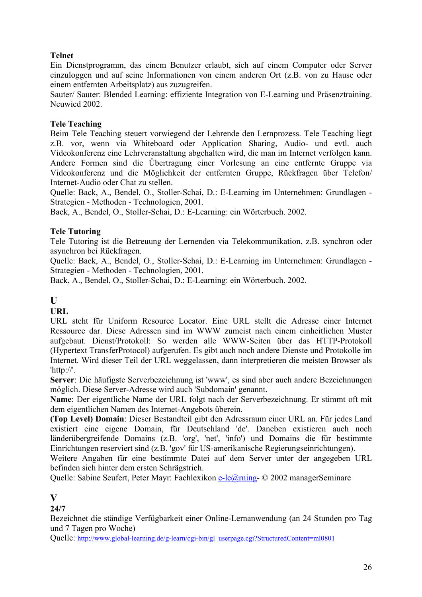## <span id="page-25-0"></span>**Telnet**

Ein Dienstprogramm, das einem Benutzer erlaubt, sich auf einem Computer oder Server einzuloggen und auf seine Informationen von einem anderen Ort (z.B. von zu Hause oder einem entfernten Arbeitsplatz) aus zuzugreifen.

Sauter/ Sauter: Blended Learning: effiziente Integration von E-Learning und Präsenztraining. Neuwied 2002.

## **Tele Teaching**

Beim Tele Teaching steuert vorwiegend der Lehrende den Lernprozess. Tele Teaching liegt z.B. vor, wenn via Whiteboard oder Application Sharing, Audio- und evtl. auch Videokonferenz eine Lehrveranstaltung abgehalten wird, die man im Internet verfolgen kann. Andere Formen sind die Übertragung einer Vorlesung an eine entfernte Gruppe via Videokonferenz und die Möglichkeit der entfernten Gruppe, Rückfragen über Telefon/ Internet-Audio oder Chat zu stellen.

Quelle: Back, A., Bendel, O., Stoller-Schai, D.: E-Learning im Unternehmen: Grundlagen - Strategien - Methoden - Technologien, 2001.

Back, A., Bendel, O., Stoller-Schai, D.: E-Learning: ein Wörterbuch. 2002.

## **Tele Tutoring**

Tele Tutoring ist die Betreuung der Lernenden via Telekommunikation, z.B. synchron oder asynchron bei Rückfragen.

Quelle: Back, A., Bendel, O., Stoller-Schai, D.: E-Learning im Unternehmen: Grundlagen - Strategien - Methoden - Technologien, 2001.

Back, A., Bendel, O., Stoller-Schai, D.: E-Learning: ein Wörterbuch. 2002.

## **U**

**URL**

URL steht für Uniform Resource Locator. Eine URL stellt die Adresse einer Internet Ressource dar. Diese Adressen sind im WWW zumeist nach einem einheitlichen Muster aufgebaut. Dienst/Protokoll: So werden alle WWW-Seiten über das HTTP-Protokoll (Hypertext TransferProtocol) aufgerufen. Es gibt auch noch andere Dienste und Protokolle im Internet. Wird dieser Teil der URL weggelassen, dann interpretieren die meisten Browser als 'http://'.

**Server**: Die häufigste Serverbezeichnung ist 'www', es sind aber auch andere Bezeichnungen möglich. Diese Server-Adresse wird auch 'Subdomain' genannt.

**Name**: Der eigentliche Name der URL folgt nach der Serverbezeichnung. Er stimmt oft mit dem eigentlichen Namen des Internet-Angebots überein.

**(Top Level) Domain**: Dieser Bestandteil gibt den Adressraum einer URL an. Für jedes Land existiert eine eigene Domain, für Deutschland 'de'. Daneben existieren auch noch länderübergreifende Domains (z.B. 'org', 'net', 'info') und Domains die für bestimmte Einrichtungen reserviert sind (z.B. 'gov' für US-amerikanische Regierungseinrichtungen).

Weitere Angaben für eine bestimmte Datei auf dem Server unter der angegeben URL befinden sich hinter dem ersten Schrägstrich.

Quelle: Sabine Seufert, Peter Mayr: Fachlexikon [e-le@rning-](mailto:e-le@rning) © 2002 managerSeminare

## **V**

**24/7**

Bezeichnet die ständige Verfügbarkeit einer Online-Lernanwendung (an 24 Stunden pro Tag und 7 Tagen pro Woche)

Quelle: [http://www.global-learning.de/g-learn/cgi-bin/gl\\_userpage.cgi?StructuredContent=ml0801](http://www.global-learning.de/g-learn/cgi-bin/gl_userpage.cgi?StructuredContent=ml0801)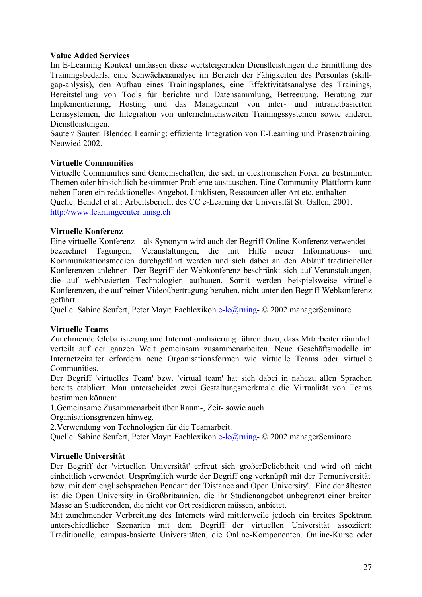#### <span id="page-26-0"></span>**Value Added Services**

Im E-Learning Kontext umfassen diese wertsteigernden Dienstleistungen die Ermittlung des Trainingsbedarfs, eine Schwächenanalyse im Bereich der Fähigkeiten des Personlas (skillgap-anlysis), den Aufbau eines Trainingsplanes, eine Effektivitätsanalyse des Trainings, Bereitstellung von Tools für berichte und Datensammlung, Betreeuung, Beratung zur Implementierung, Hosting und das Management von inter- und intranetbasierten Lernsystemen, die Integration von unternehmensweiten Trainingssystemen sowie anderen Dienstleistungen.

Sauter/ Sauter: Blended Learning: effiziente Integration von E-Learning und Präsenztraining. Neuwied 2002.

#### **Virtuelle Communities**

Virtuelle Communities sind Gemeinschaften, die sich in elektronischen Foren zu bestimmten Themen oder hinsichtlich bestimmter Probleme austauschen. Eine Community-Plattform kann neben Foren ein redaktionelles Angebot, Linklisten, Ressourcen aller Art etc. enthalten. Quelle: Bendel et al.: Arbeitsbericht des CC e-Learning der Universität St. Gallen, 2001. [http://www.learningcenter.unisg.ch](http://www.learningcenter.unisg.ch/)

#### **Virtuelle Konferenz**

Eine virtuelle Konferenz – als Synonym wird auch der Begriff Online-Konferenz verwendet – bezeichnet Tagungen, Veranstaltungen, die mit Hilfe neuer Informations- und Kommunikationsmedien durchgeführt werden und sich dabei an den Ablauf traditioneller Konferenzen anlehnen. Der Begriff der Webkonferenz beschränkt sich auf Veranstaltungen, die auf webbasierten Technologien aufbauen. Somit werden beispielsweise virtuelle Konferenzen, die auf reiner Videoübertragung beruhen, nicht unter den Begriff Webkonferenz geführt.

Quelle: Sabine Seufert, Peter Mayr: Fachlexikon [e-le@rning-](mailto:e-le@rning) © 2002 managerSeminare

#### **Virtuelle Teams**

Zunehmende Globalisierung und Internationalisierung führen dazu, dass Mitarbeiter räumlich verteilt auf der ganzen Welt gemeinsam zusammenarbeiten. Neue Geschäftsmodelle im Internetzeitalter erfordern neue Organisationsformen wie virtuelle Teams oder virtuelle **Communities** 

Der Begriff 'virtuelles Team' bzw. 'virtual team' hat sich dabei in nahezu allen Sprachen bereits etabliert. Man unterscheidet zwei Gestaltungsmerkmale die Virtualität von Teams bestimmen können:

1.Gemeinsame Zusammenarbeit über Raum-, Zeit- sowie auch

Organisationsgrenzen hinweg.

2.Verwendung von Technologien für die Teamarbeit.

Quelle: Sabine Seufert, Peter Mayr: Fachlexikon [e-le@rning-](mailto:e-le@rning) © 2002 managerSeminare

#### **Virtuelle Universität**

Der Begriff der 'virtuellen Universität' erfreut sich großerBeliebtheit und wird oft nicht einheitlich verwendet. Ursprünglich wurde der Begriff eng verknüpft mit der 'Fernuniversität' bzw. mit dem englischsprachen Pendant der 'Distance and Open University'. Eine der ältesten ist die Open University in Großbritannien, die ihr Studienangebot unbegrenzt einer breiten Masse an Studierenden, die nicht vor Ort residieren müssen, anbietet.

Mit zunehmender Verbreitung des Internets wird mittlerweile jedoch ein breites Spektrum unterschiedlicher Szenarien mit dem Begriff der virtuellen Universität assoziiert: Traditionelle, campus-basierte Universitäten, die Online-Komponenten, Online-Kurse oder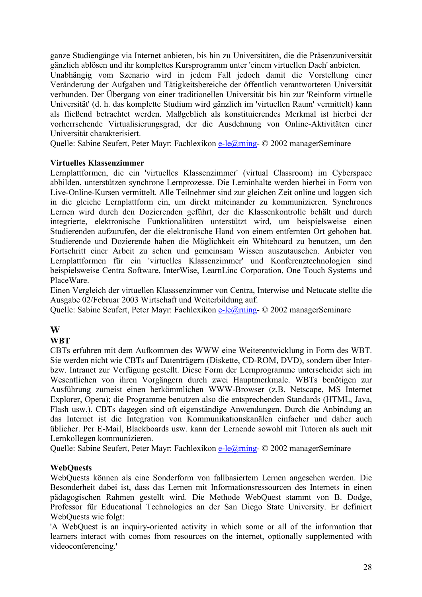<span id="page-27-0"></span>ganze Studiengänge via Internet anbieten, bis hin zu Universitäten, die die Präsenzuniversität gänzlich ablösen und ihr komplettes Kursprogramm unter 'einem virtuellen Dach' anbieten.

Unabhängig vom Szenario wird in jedem Fall jedoch damit die Vorstellung einer Veränderung der Aufgaben und Tätigkeitsbereiche der öffentlich verantworteten Universität verbunden. Der Übergang von einer traditionellen Universität bis hin zur 'Reinform virtuelle Universität' (d. h. das komplette Studium wird gänzlich im 'virtuellen Raum' vermittelt) kann als fließend betrachtet werden. Maßgeblich als konstituierendes Merkmal ist hierbei der vorherrschende Virtualisierungsgrad, der die Ausdehnung von Online-Aktivitäten einer Universität charakterisiert.

Quelle: Sabine Seufert, Peter Mayr: Fachlexikon [e-le@rning-](mailto:e-le@rning) © 2002 managerSeminare

#### **Virtuelles Klassenzimmer**

Lernplattformen, die ein 'virtuelles Klassenzimmer' (virtual Classroom) im Cyberspace abbilden, unterstützen synchrone Lernprozesse. Die Lerninhalte werden hierbei in Form von Live-Online-Kursen vermittelt. Alle Teilnehmer sind zur gleichen Zeit online und loggen sich in die gleiche Lernplattform ein, um direkt miteinander zu kommunizieren. Synchrones Lernen wird durch den Dozierenden geführt, der die Klassenkontrolle behält und durch integrierte, elektronische Funktionalitäten unterstützt wird, um beispielsweise einen Studierenden aufzurufen, der die elektronische Hand von einem entfernten Ort gehoben hat. Studierende und Dozierende haben die Möglichkeit ein Whiteboard zu benutzen, um den Fortschritt einer Arbeit zu sehen und gemeinsam Wissen auszutauschen. Anbieter von Lernplattformen für ein 'virtuelles Klassenzimmer' und Konferenztechnologien sind beispielsweise Centra Software, InterWise, LearnLinc Corporation, One Touch Systems und PlaceWare.

Einen Vergleich der virtuellen Klasssenzimmer von Centra, Interwise und Netucate stellte die Ausgabe 02/Februar 2003 Wirtschaft und Weiterbildung auf.

Quelle: Sabine Seufert, Peter Mayr: Fachlexikon [e-le@rning-](mailto:e-le@rning) © 2002 managerSeminare

## **W**

#### **WBT**

CBTs erfuhren mit dem Aufkommen des WWW eine Weiterentwicklung in Form des WBT. Sie werden nicht wie CBTs auf Datenträgern (Diskette, CD-ROM, DVD), sondern über Interbzw. Intranet zur Verfügung gestellt. Diese Form der Lernprogramme unterscheidet sich im Wesentlichen von ihren Vorgängern durch zwei Hauptmerkmale. WBTs benötigen zur Ausführung zumeist einen herkömmlichen WWW-Browser (z.B. Netscape, MS Internet Explorer, Opera); die Programme benutzen also die entsprechenden Standards (HTML, Java, Flash usw.). CBTs dagegen sind oft eigenständige Anwendungen. Durch die Anbindung an das Internet ist die Integration von Kommunikationskanälen einfacher und daher auch üblicher. Per E-Mail, Blackboards usw. kann der Lernende sowohl mit Tutoren als auch mit Lernkollegen kommunizieren.

Quelle: Sabine Seufert, Peter Mayr: Fachlexikon [e-le@rning-](mailto:e-le@rning) © 2002 managerSeminare

#### **WebQuests**

WebQuests können als eine Sonderform von fallbasiertem Lernen angesehen werden. Die Besonderheit dabei ist, dass das Lernen mit Informationsressourcen des Internets in einen pädagogischen Rahmen gestellt wird. Die Methode WebQuest stammt von B. Dodge, Professor für Educational Technologies an der San Diego State University. Er definiert WebQuests wie folgt:

'A WebQuest is an inquiry-oriented activity in which some or all of the information that learners interact with comes from resources on the internet, optionally supplemented with videoconferencing.'